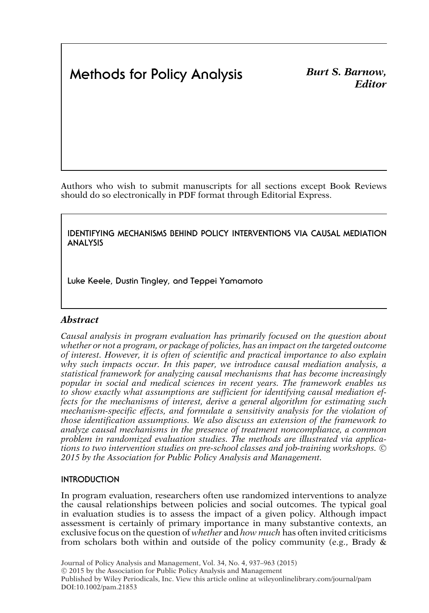# **Methods for Policy Analysis** *Burt S. Barnow,*

*Editor*

Authors who wish to submit manuscripts for all sections except Book Reviews should do so electronically in PDF format through Editorial Express.

**IDENTIFYING MECHANISMS BEHIND POLICY INTERVENTIONS VIA CAUSAL MEDIATION ANALYSIS**

**Luke Keele, Dustin Tingley, and Teppei Yamamoto**

# *Abstract*

*Causal analysis in program evaluation has primarily focused on the question about whether or not a program, or package of policies, has an impact on the targeted outcome of interest. However, it is often of scientific and practical importance to also explain why such impacts occur. In this paper, we introduce causal mediation analysis, a statistical framework for analyzing causal mechanisms that has become increasingly popular in social and medical sciences in recent years. The framework enables us to show exactly what assumptions are sufficient for identifying causal mediation effects for the mechanisms of interest, derive a general algorithm for estimating such mechanism-specific effects, and formulate a sensitivity analysis for the violation of those identification assumptions. We also discuss an extension of the framework to analyze causal mechanisms in the presence of treatment noncompliance, a common problem in randomized evaluation studies. The methods are illustrated via applica*tions to two intervention studies on pre-school classes and job-training workshops. © *2015 by the Association for Public Policy Analysis and Management.*

# **INTRODUCTION**

In program evaluation, researchers often use randomized interventions to analyze the causal relationships between policies and social outcomes. The typical goal in evaluation studies is to assess the impact of a given policy. Although impact assessment is certainly of primary importance in many substantive contexts, an exclusive focus on the question of *whether* and *how much* has often invited criticisms from scholars both within and outside of the policy community (e.g., Brady &

Journal of Policy Analysis and Management, Vol. 34, No. 4, 937–963 (2015) -<sup>C</sup> 2015 by the Association for Public Policy Analysis and Management Published by Wiley Periodicals, Inc. View this article online at wileyonlinelibrary.com/journal/pam DOI:10.1002/pam.21853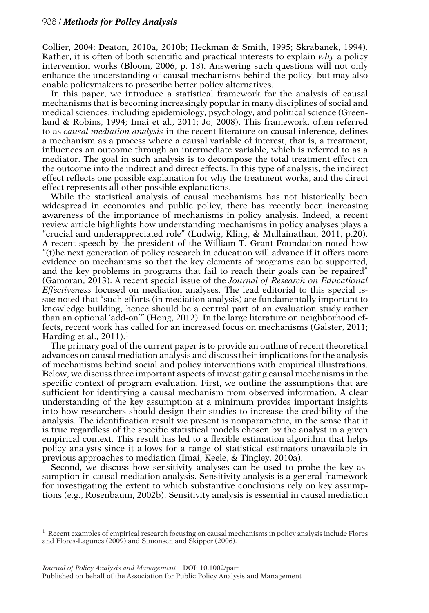Collier, 2004; Deaton, 2010a, 2010b; Heckman & Smith, 1995; Skrabanek, 1994). Rather, it is often of both scientific and practical interests to explain *why* a policy intervention works (Bloom, 2006, p. 18). Answering such questions will not only enhance the understanding of causal mechanisms behind the policy, but may also enable policymakers to prescribe better policy alternatives.

In this paper, we introduce a statistical framework for the analysis of causal mechanisms that is becoming increasingly popular in many disciplines of social and medical sciences, including epidemiology, psychology, and political science (Greenland & Robins, 1994; Imai et al., 2011; Jo, 2008). This framework, often referred to as *causal mediation analysis* in the recent literature on causal inference, defines a mechanism as a process where a causal variable of interest, that is, a treatment, influences an outcome through an intermediate variable, which is referred to as a mediator. The goal in such analysis is to decompose the total treatment effect on the outcome into the indirect and direct effects. In this type of analysis, the indirect effect reflects one possible explanation for why the treatment works, and the direct effect represents all other possible explanations.

While the statistical analysis of causal mechanisms has not historically been widespread in economics and public policy, there has recently been increasing awareness of the importance of mechanisms in policy analysis. Indeed, a recent review article highlights how understanding mechanisms in policy analyses plays a "crucial and underappreciated role" (Ludwig, Kling, & Mullainathan, 2011, p.20). A recent speech by the president of the William T. Grant Foundation noted how "(t)he next generation of policy research in education will advance if it offers more evidence on mechanisms so that the key elements of programs can be supported, and the key problems in programs that fail to reach their goals can be repaired" (Gamoran, 2013). A recent special issue of the *Journal of Research on Educational Effectiveness* focused on mediation analyses. The lead editorial to this special issue noted that "such efforts (in mediation analysis) are fundamentally important to knowledge building, hence should be a central part of an evaluation study rather than an optional 'add-on'" (Hong, 2012). In the large literature on neighborhood effects, recent work has called for an increased focus on mechanisms (Galster, 2011; Harding et al.,  $2011$ <sup>1</sup>.

The primary goal of the current paper is to provide an outline of recent theoretical advances on causal mediation analysis and discuss their implications for the analysis of mechanisms behind social and policy interventions with empirical illustrations. Below, we discuss three important aspects of investigating causal mechanisms in the specific context of program evaluation. First, we outline the assumptions that are sufficient for identifying a causal mechanism from observed information. A clear understanding of the key assumption at a minimum provides important insights into how researchers should design their studies to increase the credibility of the analysis. The identification result we present is nonparametric, in the sense that it is true regardless of the specific statistical models chosen by the analyst in a given empirical context. This result has led to a flexible estimation algorithm that helps policy analysts since it allows for a range of statistical estimators unavailable in previous approaches to mediation (Imai, Keele, & Tingley, 2010a).

Second, we discuss how sensitivity analyses can be used to probe the key assumption in causal mediation analysis. Sensitivity analysis is a general framework for investigating the extent to which substantive conclusions rely on key assumptions (e.g., Rosenbaum, 2002b). Sensitivity analysis is essential in causal mediation

<sup>1</sup> Recent examples of empirical research focusing on causal mechanisms in policy analysis include Flores and Flores-Lagunes (2009) and Simonsen and Skipper (2006).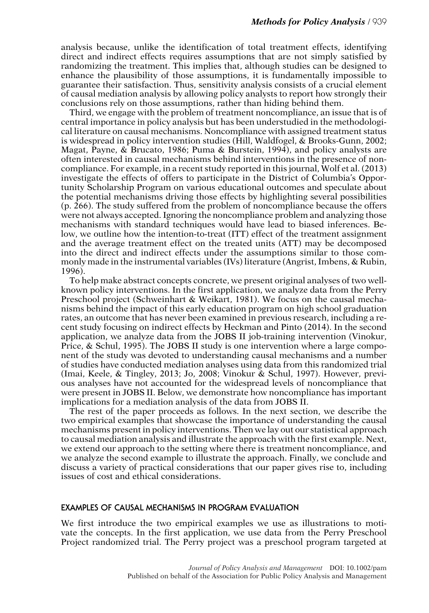analysis because, unlike the identification of total treatment effects, identifying direct and indirect effects requires assumptions that are not simply satisfied by randomizing the treatment. This implies that, although studies can be designed to enhance the plausibility of those assumptions, it is fundamentally impossible to guarantee their satisfaction. Thus, sensitivity analysis consists of a crucial element of causal mediation analysis by allowing policy analysts to report how strongly their conclusions rely on those assumptions, rather than hiding behind them.

Third, we engage with the problem of treatment noncompliance, an issue that is of central importance in policy analysis but has been understudied in the methodological literature on causal mechanisms. Noncompliance with assigned treatment status is widespread in policy intervention studies (Hill, Waldfogel, & Brooks-Gunn, 2002; Magat, Payne, & Brucato, 1986; Puma & Burstein, 1994), and policy analysts are often interested in causal mechanisms behind interventions in the presence of noncompliance. For example, in a recent study reported in this journal, Wolf et al. (2013) investigate the effects of offers to participate in the District of Columbia's Opportunity Scholarship Program on various educational outcomes and speculate about the potential mechanisms driving those effects by highlighting several possibilities (p. 266). The study suffered from the problem of noncompliance because the offers were not always accepted. Ignoring the noncompliance problem and analyzing those mechanisms with standard techniques would have lead to biased inferences. Below, we outline how the intention-to-treat (ITT) effect of the treatment assignment and the average treatment effect on the treated units (ATT) may be decomposed into the direct and indirect effects under the assumptions similar to those commonly made in the instrumental variables (IVs) literature (Angrist, Imbens, & Rubin, 1996).

To help make abstract concepts concrete, we present original analyses of two wellknown policy interventions. In the first application, we analyze data from the Perry Preschool project (Schweinhart & Weikart, 1981). We focus on the causal mechanisms behind the impact of this early education program on high school graduation rates, an outcome that has never been examined in previous research, including a recent study focusing on indirect effects by Heckman and Pinto (2014). In the second application, we analyze data from the JOBS II job-training intervention (Vinokur, Price, & Schul, 1995). The JOBS II study is one intervention where a large component of the study was devoted to understanding causal mechanisms and a number of studies have conducted mediation analyses using data from this randomized trial (Imai, Keele, & Tingley, 2013; Jo, 2008; Vinokur & Schul, 1997). However, previous analyses have not accounted for the widespread levels of noncompliance that were present in JOBS II. Below, we demonstrate how noncompliance has important implications for a mediation analysis of the data from JOBS II.

The rest of the paper proceeds as follows. In the next section, we describe the two empirical examples that showcase the importance of understanding the causal mechanisms present in policy interventions. Then we lay out our statistical approach to causal mediation analysis and illustrate the approach with the first example. Next, we extend our approach to the setting where there is treatment noncompliance, and we analyze the second example to illustrate the approach. Finally, we conclude and discuss a variety of practical considerations that our paper gives rise to, including issues of cost and ethical considerations.

## **EXAMPLES OF CAUSAL MECHANISMS IN PROGRAM EVALUATION**

We first introduce the two empirical examples we use as illustrations to motivate the concepts. In the first application, we use data from the Perry Preschool Project randomized trial. The Perry project was a preschool program targeted at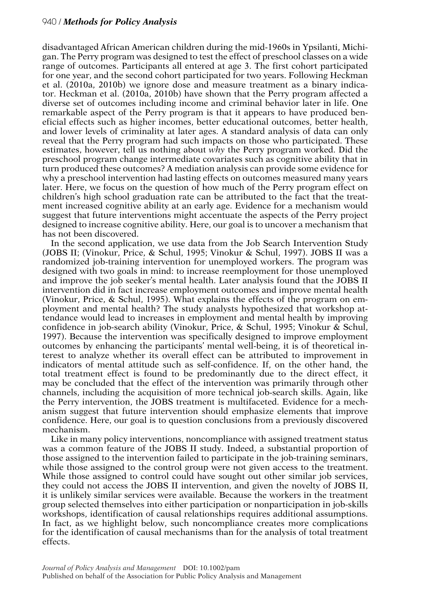disadvantaged African American children during the mid-1960s in Ypsilanti, Michigan. The Perry program was designed to test the effect of preschool classes on a wide range of outcomes. Participants all entered at age 3. The first cohort participated for one year, and the second cohort participated for two years. Following Heckman et al. (2010a, 2010b) we ignore dose and measure treatment as a binary indicator. Heckman et al. (2010a, 2010b) have shown that the Perry program affected a diverse set of outcomes including income and criminal behavior later in life. One remarkable aspect of the Perry program is that it appears to have produced beneficial effects such as higher incomes, better educational outcomes, better health, and lower levels of criminality at later ages. A standard analysis of data can only reveal that the Perry program had such impacts on those who participated. These estimates, however, tell us nothing about *why* the Perry program worked. Did the preschool program change intermediate covariates such as cognitive ability that in turn produced these outcomes? A mediation analysis can provide some evidence for why a preschool intervention had lasting effects on outcomes measured many years later. Here, we focus on the question of how much of the Perry program effect on children's high school graduation rate can be attributed to the fact that the treatment increased cognitive ability at an early age. Evidence for a mechanism would suggest that future interventions might accentuate the aspects of the Perry project designed to increase cognitive ability. Here, our goal is to uncover a mechanism that has not been discovered.

In the second application, we use data from the Job Search Intervention Study (JOBS II; (Vinokur, Price, & Schul, 1995; Vinokur & Schul, 1997). JOBS II was a randomized job-training intervention for unemployed workers. The program was designed with two goals in mind: to increase reemployment for those unemployed and improve the job seeker's mental health. Later analysis found that the JOBS II intervention did in fact increase employment outcomes and improve mental health (Vinokur, Price, & Schul, 1995). What explains the effects of the program on employment and mental health? The study analysts hypothesized that workshop attendance would lead to increases in employment and mental health by improving confidence in job-search ability (Vinokur, Price, & Schul, 1995; Vinokur & Schul, 1997). Because the intervention was specifically designed to improve employment outcomes by enhancing the participants' mental well-being, it is of theoretical interest to analyze whether its overall effect can be attributed to improvement in indicators of mental attitude such as self-confidence. If, on the other hand, the total treatment effect is found to be predominantly due to the direct effect, it may be concluded that the effect of the intervention was primarily through other channels, including the acquisition of more technical job-search skills. Again, like the Perry intervention, the JOBS treatment is multifaceted. Evidence for a mechanism suggest that future intervention should emphasize elements that improve confidence. Here, our goal is to question conclusions from a previously discovered mechanism.

Like in many policy interventions, noncompliance with assigned treatment status was a common feature of the JOBS II study. Indeed, a substantial proportion of those assigned to the intervention failed to participate in the job-training seminars, while those assigned to the control group were not given access to the treatment. While those assigned to control could have sought out other similar job services, they could not access the JOBS II intervention, and given the novelty of JOBS II, it is unlikely similar services were available. Because the workers in the treatment group selected themselves into either participation or nonparticipation in job-skills workshops, identification of causal relationships requires additional assumptions. In fact, as we highlight below, such noncompliance creates more complications for the identification of causal mechanisms than for the analysis of total treatment effects.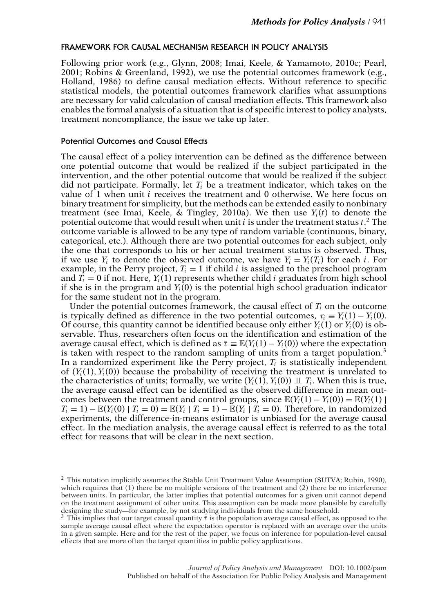## **FRAMEWORK FOR CAUSAL MECHANISM RESEARCH IN POLICY ANALYSIS**

Following prior work (e.g., Glynn, 2008; Imai, Keele, & Yamamoto, 2010c; Pearl, 2001; Robins & Greenland, 1992), we use the potential outcomes framework (e.g., Holland, 1986) to define causal mediation effects. Without reference to specific statistical models, the potential outcomes framework clarifies what assumptions are necessary for valid calculation of causal mediation effects. This framework also enables the formal analysis of a situation that is of specific interest to policy analysts, treatment noncompliance, the issue we take up later.

## **Potential Outcomes and Causal Effects**

The causal effect of a policy intervention can be defined as the difference between one potential outcome that would be realized if the subject participated in the intervention, and the other potential outcome that would be realized if the subject did not participate. Formally, let  $T_i$  be a treatment indicator, which takes on the value of 1 when unit *i* receives the treatment and 0 otherwise. We here focus on binary treatment for simplicity, but the methods can be extended easily to nonbinary treatment (see Imai, Keele,  $\&$  Tingley, 2010a). We then use  $Y_i(t)$  to denote the potential outcome that would result when unit *i* is under the treatment status *t*. <sup>2</sup> The outcome variable is allowed to be any type of random variable (continuous, binary, categorical, etc.). Although there are two potential outcomes for each subject, only the one that corresponds to his or her actual treatment status is observed. Thus, if we use  $Y_i$  to denote the observed outcome, we have  $Y_i = Y_i(T_i)$  for each *i*. For example, in the Perry project,  $T_i = 1$  if child *i* is assigned to the preschool program and  $T_i = 0$  if not. Here,  $Y_i(1)$  represents whether child *i* graduates from high school if she is in the program and  $Y_i(0)$  is the potential high school graduation indicator for the same student not in the program.

Under the potential outcomes framework, the causal effect of  $T_i$  on the outcome is typically defined as difference in the two potential outcomes,  $\tau_i \equiv Y_i(1) - Y_i(0)$ . Of course, this quantity cannot be identified because only either  $Y_i(1)$  or  $Y_i(0)$  is observable. Thus, researchers often focus on the identification and estimation of the average causal effect, which is defined as  $\bar{\tau} \equiv \mathbb{E}(Y_i(1) - Y_i(0))$  where the expectation is taken with respect to the random sampling of units from a target population.<sup>3</sup> In a randomized experiment like the Perry project,  $T_i$  is statistically independent of  $(Y_i(1), Y_i(0))$  because the probability of receiving the treatment is unrelated to the characteristics of units; formally, we write  $(Y_i(1), Y_i(0)) \perp T_i$ . When this is true, the average causal effect can be identified as the observed difference in mean outcomes between the treatment and control groups, since  $\mathbb{E}(Y_i(1) - Y_i(0)) = \mathbb{E}(Y_i(1))$ *T<sub>i</sub>* = 1) −  $\mathbb{E}(Y_i(0) | T_i = 0) = \mathbb{E}(Y_i | T_i = 1) - \mathbb{E}(Y_i | T_i = 0)$ . Therefore, in randomized experiments, the difference-in-means estimator is unbiased for the average causal effect. In the mediation analysis, the average causal effect is referred to as the total effect for reasons that will be clear in the next section.

<sup>&</sup>lt;sup>2</sup> This notation implicitly assumes the Stable Unit Treatment Value Assumption (SUTVA; Rubin, 1990), which requires that (1) there be no multiple versions of the treatment and (2) there be no interference between units. In particular, the latter implies that potential outcomes for a given unit cannot depend on the treatment assignment of other units. This assumption can be made more plausible by carefully designing the study—for example, by not studying individuals from the same household.

<sup>&</sup>lt;sup>3</sup> This implies that our target causal quantity  $\bar{\tau}$  is the population average causal effect, as opposed to the sample average causal effect where the expectation operator is replaced with an average over the units in a given sample. Here and for the rest of the paper, we focus on inference for population-level causal effects that are more often the target quantities in public policy applications.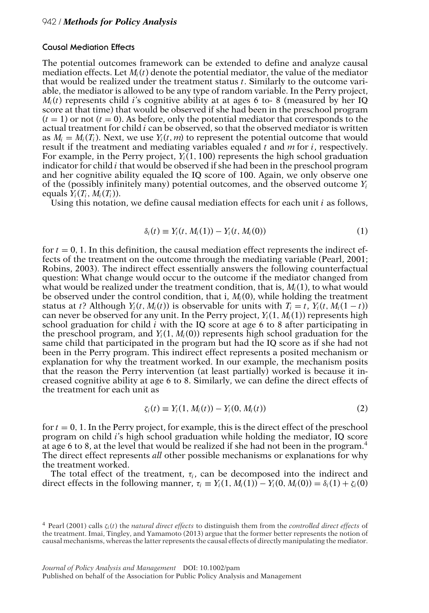## **Causal Mediation Effects**

The potential outcomes framework can be extended to define and analyze causal mediation effects. Let  $M_i(t)$  denote the potential mediator, the value of the mediator that would be realized under the treatment status *t*. Similarly to the outcome variable, the mediator is allowed to be any type of random variable. In the Perry project,  $M_i(t)$  represents child *i*'s cognitive ability at at ages 6 to-8 (measured by her IQ score at that time) that would be observed if she had been in the preschool program  $(t = 1)$  or not  $(t = 0)$ . As before, only the potential mediator that corresponds to the actual treatment for child *i* can be observed, so that the observed mediator is written as  $M_i = M_i(T_i)$ . Next, we use  $Y_i(t, m)$  to represent the potential outcome that would result if the treatment and mediating variables equaled *t* and *m* for *i*, respectively. For example, in the Perry project,  $Y_i(1, 100)$  represents the high school graduation indicator for child *i* that would be observed if she had been in the preschool program and her cognitive ability equaled the IQ score of 100. Again, we only observe one of the (possibly infinitely many) potential outcomes, and the observed outcome *Yi* equals  $Y_i(T_i, M_i(T_i))$ .

Using this notation, we define causal mediation effects for each unit *i* as follows,

$$
\delta_i(t) \equiv Y_i(t, M_i(1)) - Y_i(t, M_i(0))
$$
\n(1)

for  $t = 0$ , 1. In this definition, the causal mediation effect represents the indirect effects of the treatment on the outcome through the mediating variable (Pearl, 2001; Robins, 2003). The indirect effect essentially answers the following counterfactual question: What change would occur to the outcome if the mediator changed from what would be realized under the treatment condition, that is,  $M_i(1)$ , to what would be observed under the control condition, that i,  $M_i(0)$ , while holding the treatment status at *t*? Although  $Y_i(t, M_i(t))$  is observable for units with  $T_i = t$ ,  $Y_i(t, M_i(1-t))$ can never be observed for any unit. In the Perry project,  $Y_i(1, M_i(1))$  represents high school graduation for child *i* with the IQ score at age 6 to 8 after participating in the preschool program, and  $Y_i(1, M_i(0))$  represents high school graduation for the same child that participated in the program but had the IQ score as if she had not been in the Perry program. This indirect effect represents a posited mechanism or explanation for why the treatment worked. In our example, the mechanism posits that the reason the Perry intervention (at least partially) worked is because it increased cognitive ability at age 6 to 8. Similarly, we can define the direct effects of the treatment for each unit as

$$
\zeta_i(t) \equiv Y_i(1, M_i(t)) - Y_i(0, M_i(t))
$$
\n(2)

for *t* = 0, 1. In the Perry project, for example, this is the direct effect of the preschool program on child *i*'s high school graduation while holding the mediator, IQ score at age 6 to 8, at the level that would be realized if she had not been in the program.<sup>4</sup> The direct effect represents *all* other possible mechanisms or explanations for why the treatment worked.

The total effect of the treatment,  $\tau_i$ , can be decomposed into the indirect and direct effects in the following manner,  $\tau_i \equiv Y_i(1, M_i(1)) - Y_i(0, M_i(0)) = \delta_i(1) + \zeta_i(0)$ 

<sup>4</sup> Pearl (2001) calls ζ*i*(*t*) the *natural direct effects* to distinguish them from the *controlled direct effects* of the treatment. Imai, Tingley, and Yamamoto (2013) argue that the former better represents the notion of causal mechanisms, whereas the latter represents the causal effects of directly manipulating the mediator.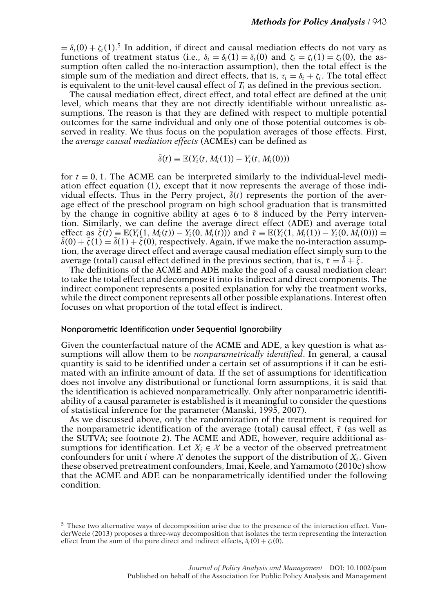$=\delta_i(0) + \zeta_i(1)$ .<sup>5</sup> In addition, if direct and causal mediation effects do not vary as functions of treatment status (i.e.,  $\delta_i = \delta_i(1) = \delta_i(0)$  and  $\zeta_i = \zeta_i(1) = \zeta_i(0)$ , the assumption often called the no-interaction assumption), then the total effect is the simple sum of the mediation and direct effects, that is,  $\tau_i = \delta_i + \zeta_i$ . The total effect is equivalent to the unit-level causal effect of  $T_i$  as defined in the previous section.

The causal mediation effect, direct effect, and total effect are defined at the unit level, which means that they are not directly identifiable without unrealistic assumptions. The reason is that they are defined with respect to multiple potential outcomes for the same individual and only one of those potential outcomes is observed in reality. We thus focus on the population averages of those effects. First, the *average causal mediation effects* (ACMEs) can be defined as

$$
\bar{\delta}(t) \equiv \mathbb{E}(Y_i(t, M_i(1)) - Y_i(t, M_i(0)))
$$

for  $t = 0, 1$ . The ACME can be interpreted similarly to the individual-level mediation effect equation (1), except that it now represents the average of those individual effects. Thus in the Perry project,  $\bar{\delta}(t)$  represents the portion of the average effect of the preschool program on high school graduation that is transmitted by the change in cognitive ability at ages 6 to 8 induced by the Perry intervention. Similarly, we can define the average direct effect (ADE) and average total effect as  $\bar{\zeta}(t) \equiv \mathbb{E}(Y_i(1, M_i(t)) - Y_i(0, M_i(t)))$  and  $\bar{\tau} \equiv \mathbb{E}(Y_i(1, M_i(1)) - Y_i(0, M_i(0))) =$  $\bar{\delta}(0) + \bar{\zeta}(1) = \bar{\delta}(1) + \bar{\zeta}(0)$ , respectively. Again, if we make the no-interaction assumption, the average direct effect and average causal mediation effect simply sum to the average (total) causal effect defined in the previous section, that is,  $\bar{\tau} = \bar{\delta} + \bar{\zeta}$ .

The definitions of the ACME and ADE make the goal of a causal mediation clear: to take the total effect and decompose it into its indirect and direct components. The indirect component represents a posited explanation for why the treatment works, while the direct component represents all other possible explanations. Interest often focuses on what proportion of the total effect is indirect.

#### **Nonparametric Identification under Sequential Ignorability**

Given the counterfactual nature of the ACME and ADE, a key question is what assumptions will allow them to be *nonparametrically identified*. In general, a causal quantity is said to be identified under a certain set of assumptions if it can be estimated with an infinite amount of data. If the set of assumptions for identification does not involve any distributional or functional form assumptions, it is said that the identification is achieved nonparametrically. Only after nonparametric identifiability of a causal parameter is established is it meaningful to consider the questions of statistical inference for the parameter (Manski, 1995, 2007).

As we discussed above, only the randomization of the treatment is required for the nonparametric identification of the average (total) causal effect,  $\bar{\tau}$  (as well as the SUTVA; see footnote 2). The ACME and ADE, however, require additional assumptions for identification. Let  $X_i \in \mathcal{X}$  be a vector of the observed pretreatment confounders for unit *i* where X denotes the support of the distribution of  $X_i$ . Given these observed pretreatment confounders, Imai, Keele, and Yamamoto (2010c) show that the ACME and ADE can be nonparametrically identified under the following condition.

<sup>5</sup> These two alternative ways of decomposition arise due to the presence of the interaction effect. VanderWeele (2013) proposes a three-way decomposition that isolates the term representing the interaction effect from the sum of the pure direct and indirect effects,  $\delta_i(0) + \zeta_i(0)$ .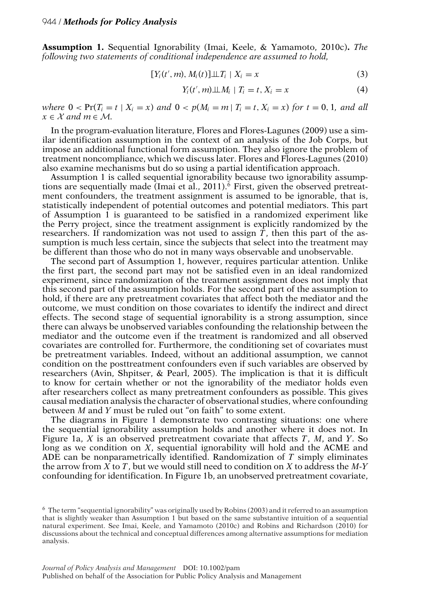**Assumption 1.** Sequential Ignorability (Imai, Keele, & Yamamoto, 2010c)**.** *The following two statements of conditional independence are assumed to hold,*

$$
[Y_i(t',m), M_i(t)] \perp T_i \mid X_i = x \tag{3}
$$

$$
Y_i(t',m)\perp \!\!\!\perp M_i \mid T_i=t, X_i=x \tag{4}
$$

*where*  $0 < \Pr(T_i = t \mid X_i = x)$  *and*  $0 < p(M_i = m \mid T_i = t, X_i = x)$  for  $t = 0, 1$ *, and all*  $x \in \mathcal{X}$  and  $m \in \mathcal{M}$ .

In the program-evaluation literature, Flores and Flores-Lagunes (2009) use a similar identification assumption in the context of an analysis of the Job Corps, but impose an additional functional form assumption. They also ignore the problem of treatment noncompliance, which we discuss later. Flores and Flores-Lagunes (2010) also examine mechanisms but do so using a partial identification approach.

Assumption 1 is called sequential ignorability because two ignorability assumptions are sequentially made (Imai et al.,  $2011$ ).<sup>6</sup> First, given the observed pretreatment confounders, the treatment assignment is assumed to be ignorable, that is, statistically independent of potential outcomes and potential mediators. This part of Assumption 1 is guaranteed to be satisfied in a randomized experiment like the Perry project, since the treatment assignment is explicitly randomized by the researchers. If randomization was not used to assign *T*, then this part of the assumption is much less certain, since the subjects that select into the treatment may be different than those who do not in many ways observable and unobservable.

The second part of Assumption 1, however, requires particular attention. Unlike the first part, the second part may not be satisfied even in an ideal randomized experiment, since randomization of the treatment assignment does not imply that this second part of the assumption holds. For the second part of the assumption to hold, if there are any pretreatment covariates that affect both the mediator and the outcome, we must condition on those covariates to identify the indirect and direct effects. The second stage of sequential ignorability is a strong assumption, since there can always be unobserved variables confounding the relationship between the mediator and the outcome even if the treatment is randomized and all observed covariates are controlled for. Furthermore, the conditioning set of covariates must be pretreatment variables. Indeed, without an additional assumption, we cannot condition on the posttreatment confounders even if such variables are observed by researchers (Avin, Shpitser, & Pearl, 2005). The implication is that it is difficult to know for certain whether or not the ignorability of the mediator holds even after researchers collect as many pretreatment confounders as possible. This gives causal mediation analysis the character of observational studies, where confounding between *M* and *Y* must be ruled out "on faith" to some extent.

The diagrams in Figure 1 demonstrate two contrasting situations: one where the sequential ignorability assumption holds and another where it does not. In Figure 1a, *X* is an observed pretreatment covariate that affects *T*, *M*, and *Y*. So long as we condition on *X*, sequential ignorability will hold and the ACME and ADE can be nonparametrically identified. Randomization of *T* simply eliminates the arrow from *X* to *T*, but we would still need to condition on *X* to address the *M*-*Y* confounding for identification. In Figure 1b, an unobserved pretreatment covariate,

<sup>6</sup> The term "sequential ignorability" was originally used by Robins (2003) and it referred to an assumption that is slightly weaker than Assumption 1 but based on the same substantive intuition of a sequential natural experiment. See Imai, Keele, and Yamamoto (2010c) and Robins and Richardson (2010) for discussions about the technical and conceptual differences among alternative assumptions for mediation analysis.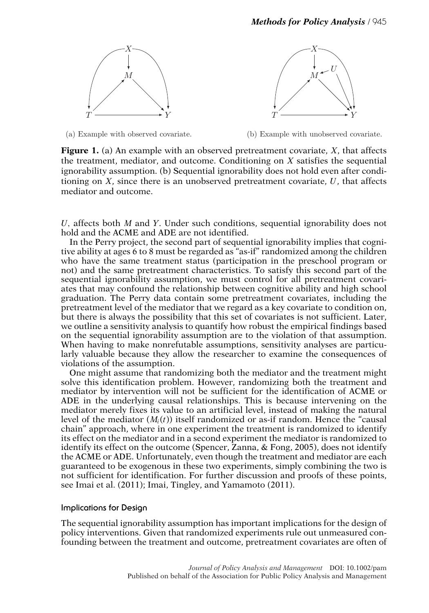



(a) Example with observed covariate.



**Figure 1.** (a) An example with an observed pretreatment covariate, *X*, that affects the treatment, mediator, and outcome. Conditioning on *X* satisfies the sequential ignorability assumption. (b) Sequential ignorability does not hold even after conditioning on *X*, since there is an unobserved pretreatment covariate, *U*, that affects mediator and outcome.

*U*, affects both *M* and *Y*. Under such conditions, sequential ignorability does not hold and the ACME and ADE are not identified.

In the Perry project, the second part of sequential ignorability implies that cognitive ability at ages 6 to 8 must be regarded as "as-if" randomized among the children who have the same treatment status (participation in the preschool program or not) and the same pretreatment characteristics. To satisfy this second part of the sequential ignorability assumption, we must control for all pretreatment covariates that may confound the relationship between cognitive ability and high school graduation. The Perry data contain some pretreatment covariates, including the pretreatment level of the mediator that we regard as a key covariate to condition on, but there is always the possibility that this set of covariates is not sufficient. Later, we outline a sensitivity analysis to quantify how robust the empirical findings based on the sequential ignorability assumption are to the violation of that assumption. When having to make nonrefutable assumptions, sensitivity analyses are particularly valuable because they allow the researcher to examine the consequences of violations of the assumption.

One might assume that randomizing both the mediator and the treatment might solve this identification problem. However, randomizing both the treatment and mediator by intervention will not be sufficient for the identification of ACME or ADE in the underlying causal relationships. This is because intervening on the mediator merely fixes its value to an artificial level, instead of making the natural level of the mediator  $(M_i(t))$  itself randomized or as-if random. Hence the "causal" chain" approach, where in one experiment the treatment is randomized to identify its effect on the mediator and in a second experiment the mediator is randomized to identify its effect on the outcome (Spencer, Zanna, & Fong, 2005), does not identify the ACME or ADE. Unfortunately, even though the treatment and mediator are each guaranteed to be exogenous in these two experiments, simply combining the two is not sufficient for identification. For further discussion and proofs of these points, see Imai et al. (2011); Imai, Tingley, and Yamamoto (2011).

## **Implications for Design**

The sequential ignorability assumption has important implications for the design of policy interventions. Given that randomized experiments rule out unmeasured confounding between the treatment and outcome, pretreatment covariates are often of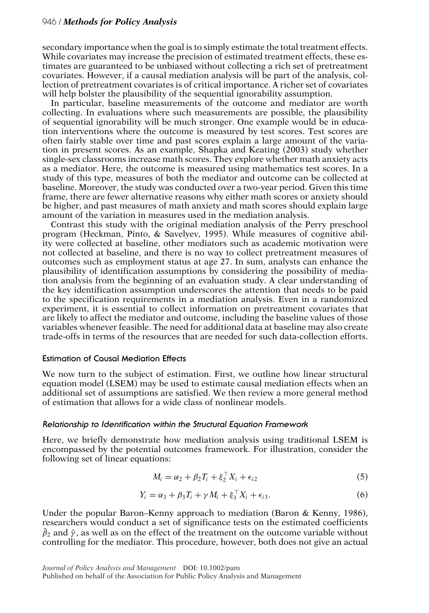secondary importance when the goal is to simply estimate the total treatment effects. While covariates may increase the precision of estimated treatment effects, these estimates are guaranteed to be unbiased without collecting a rich set of pretreatment covariates. However, if a causal mediation analysis will be part of the analysis, collection of pretreatment covariates is of critical importance. A richer set of covariates will help bolster the plausibility of the sequential ignorability assumption.

In particular, baseline measurements of the outcome and mediator are worth collecting. In evaluations where such measurements are possible, the plausibility of sequential ignorability will be much stronger. One example would be in education interventions where the outcome is measured by test scores. Test scores are often fairly stable over time and past scores explain a large amount of the variation in present scores. As an example, Shapka and Keating (2003) study whether single-sex classrooms increase math scores. They explore whether math anxiety acts as a mediator. Here, the outcome is measured using mathematics test scores. In a study of this type, measures of both the mediator and outcome can be collected at baseline. Moreover, the study was conducted over a two-year period. Given this time frame, there are fewer alternative reasons why either math scores or anxiety should be higher, and past measures of math anxiety and math scores should explain large amount of the variation in measures used in the mediation analysis.

Contrast this study with the original mediation analysis of the Perry preschool program (Heckman, Pinto, & Savelyev, 1995). While measures of cognitive ability were collected at baseline, other mediators such as academic motivation were not collected at baseline, and there is no way to collect pretreatment measures of outcomes such as employment status at age 27. In sum, analysts can enhance the plausibility of identification assumptions by considering the possibility of mediation analysis from the beginning of an evaluation study. A clear understanding of the key identification assumption underscores the attention that needs to be paid to the specification requirements in a mediation analysis. Even in a randomized experiment, it is essential to collect information on pretreatment covariates that are likely to affect the mediator and outcome, including the baseline values of those variables whenever feasible. The need for additional data at baseline may also create trade-offs in terms of the resources that are needed for such data-collection efforts.

## **Estimation of Causal Mediation Effects**

We now turn to the subject of estimation. First, we outline how linear structural equation model (LSEM) may be used to estimate causal mediation effects when an additional set of assumptions are satisfied. We then review a more general method of estimation that allows for a wide class of nonlinear models.

#### **Relationship to Identification within the Structural Equation Framework**

Here, we briefly demonstrate how mediation analysis using traditional LSEM is encompassed by the potential outcomes framework. For illustration, consider the following set of linear equations:

$$
M_i = \alpha_2 + \beta_2 T_i + \xi_2^{\top} X_i + \epsilon_{i2} \tag{5}
$$

$$
Y_i = \alpha_3 + \beta_3 T_i + \gamma M_i + \xi_3^{\top} X_i + \epsilon_{i3}.
$$
 (6)

Under the popular Baron–Kenny approach to mediation (Baron & Kenny, 1986), researchers would conduct a set of significance tests on the estimated coefficients  $\hat{\beta}_2$  and  $\hat{\gamma}$ , as well as on the effect of the treatment on the outcome variable without controlling for the mediator. This procedure, however, both does not give an actual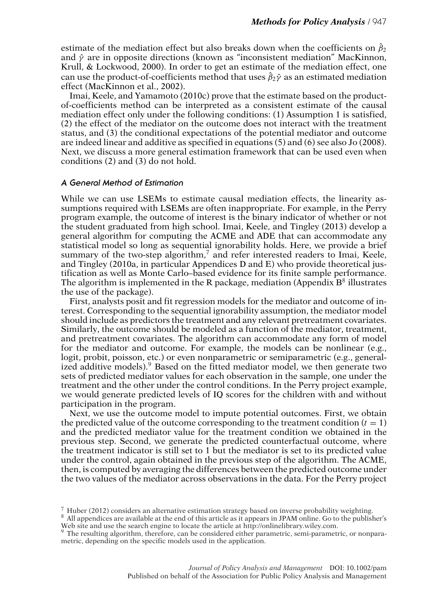estimate of the mediation effect but also breaks down when the coefficients on  $\hat{\beta}_2$ and  $\hat{\gamma}$  are in opposite directions (known as "inconsistent mediation" MacKinnon, Krull, & Lockwood, 2000). In order to get an estimate of the mediation effect, one can use the product-of-coefficients method that uses  $\hat{\beta}_2\hat{\gamma}$  as an estimated mediation effect (MacKinnon et al., 2002).

Imai, Keele, and Yamamoto (2010c) prove that the estimate based on the productof-coefficients method can be interpreted as a consistent estimate of the causal mediation effect only under the following conditions: (1) Assumption 1 is satisfied, (2) the effect of the mediator on the outcome does not interact with the treatment status, and (3) the conditional expectations of the potential mediator and outcome are indeed linear and additive as specified in equations (5) and (6) see also Jo (2008). Next, we discuss a more general estimation framework that can be used even when conditions (2) and (3) do not hold.

# **A General Method of Estimation**

While we can use LSEMs to estimate causal mediation effects, the linearity assumptions required with LSEMs are often inappropriate. For example, in the Perry program example, the outcome of interest is the binary indicator of whether or not the student graduated from high school. Imai, Keele, and Tingley (2013) develop a general algorithm for computing the ACME and ADE that can accommodate any statistical model so long as sequential ignorability holds. Here, we provide a brief summary of the two-step algorithm,<sup>7</sup> and refer interested readers to Imai, Keele, and Tingley (2010a, in particular Appendices D and E) who provide theoretical justification as well as Monte Carlo–based evidence for its finite sample performance. The algorithm is implemented in the R package, mediation (Appendix  $B^8$  illustrates the use of the package).

First, analysts posit and fit regression models for the mediator and outcome of interest. Corresponding to the sequential ignorability assumption, the mediator model should include as predictors the treatment and any relevant pretreatment covariates. Similarly, the outcome should be modeled as a function of the mediator, treatment, and pretreatment covariates. The algorithm can accommodate any form of model for the mediator and outcome. For example, the models can be nonlinear (e.g., logit, probit, poisson, etc.) or even nonparametric or semiparametric (e.g., generalized additive models).<sup>9</sup> Based on the fitted mediator model, we then generate two sets of predicted mediator values for each observation in the sample, one under the treatment and the other under the control conditions. In the Perry project example, we would generate predicted levels of IQ scores for the children with and without participation in the program.

Next, we use the outcome model to impute potential outcomes. First, we obtain the predicted value of the outcome corresponding to the treatment condition  $(t = 1)$ and the predicted mediator value for the treatment condition we obtained in the previous step. Second, we generate the predicted counterfactual outcome, where the treatment indicator is still set to 1 but the mediator is set to its predicted value under the control, again obtained in the previous step of the algorithm. The ACME, then, is computed by averaging the differences between the predicted outcome under the two values of the mediator across observations in the data. For the Perry project

<sup>&</sup>lt;sup>7</sup> Huber (2012) considers an alternative estimation strategy based on inverse probability weighting.  $8$  All appendices are available at the end of this article as it appears in JPAM online. Go to the publisher's Web site and use the search engine to locate the article at http://onlinelibrary.wiley.com.

<sup>&</sup>lt;sup>9</sup> The resulting algorithm, therefore, can be considered either parametric, semi-parametric, or nonparametric, depending on the specific models used in the application.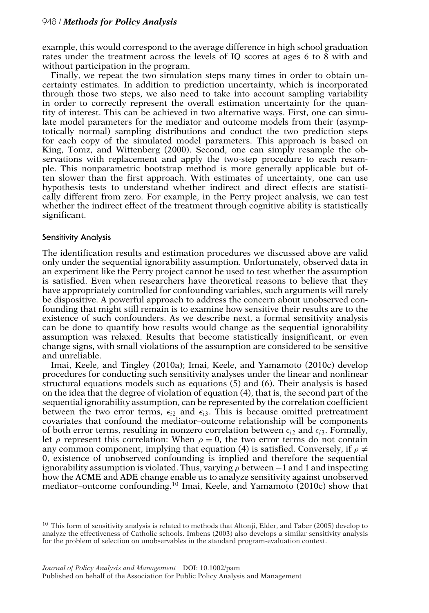example, this would correspond to the average difference in high school graduation rates under the treatment across the levels of IQ scores at ages 6 to 8 with and without participation in the program.

Finally, we repeat the two simulation steps many times in order to obtain uncertainty estimates. In addition to prediction uncertainty, which is incorporated through those two steps, we also need to take into account sampling variability in order to correctly represent the overall estimation uncertainty for the quantity of interest. This can be achieved in two alternative ways. First, one can simulate model parameters for the mediator and outcome models from their (asymptotically normal) sampling distributions and conduct the two prediction steps for each copy of the simulated model parameters. This approach is based on King, Tomz, and Wittenberg (2000). Second, one can simply resample the observations with replacement and apply the two-step procedure to each resample. This nonparametric bootstrap method is more generally applicable but often slower than the first approach. With estimates of uncertainty, one can use hypothesis tests to understand whether indirect and direct effects are statistically different from zero. For example, in the Perry project analysis, we can test whether the indirect effect of the treatment through cognitive ability is statistically significant.

#### **Sensitivity Analysis**

The identification results and estimation procedures we discussed above are valid only under the sequential ignorability assumption. Unfortunately, observed data in an experiment like the Perry project cannot be used to test whether the assumption is satisfied. Even when researchers have theoretical reasons to believe that they have appropriately controlled for confounding variables, such arguments will rarely be dispositive. A powerful approach to address the concern about unobserved confounding that might still remain is to examine how sensitive their results are to the existence of such confounders. As we describe next, a formal sensitivity analysis can be done to quantify how results would change as the sequential ignorability assumption was relaxed. Results that become statistically insignificant, or even change signs, with small violations of the assumption are considered to be sensitive and unreliable.

Imai, Keele, and Tingley (2010a); Imai, Keele, and Yamamoto (2010c) develop procedures for conducting such sensitivity analyses under the linear and nonlinear structural equations models such as equations (5) and (6). Their analysis is based on the idea that the degree of violation of equation (4), that is, the second part of the sequential ignorability assumption, can be represented by the correlation coefficient between the two error terms,  $\epsilon_{i2}$  and  $\epsilon_{i3}$ . This is because omitted pretreatment covariates that confound the mediator–outcome relationship will be components of both error terms, resulting in nonzero correlation between  $\epsilon_{i2}$  and  $\epsilon_{i3}$ . Formally, let  $\rho$  represent this correlation: When  $\rho = 0$ , the two error terms do not contain any common component, implying that equation (4) is satisfied. Conversely, if  $\rho \neq$ 0, existence of unobserved confounding is implied and therefore the sequential ignorability assumption is violated. Thus, varying  $\rho$  between  $-1$  and 1 and inspecting how the ACME and ADE change enable us to analyze sensitivity against unobserved mediator–outcome confounding.<sup>10</sup> Imai, Keele, and Yamamoto (2010c) show that

 $10$  This form of sensitivity analysis is related to methods that Altonji, Elder, and Taber (2005) develop to analyze the effectiveness of Catholic schools. Imbens (2003) also develops a similar sensitivity analysis for the problem of selection on unobservables in the standard program-evaluation context.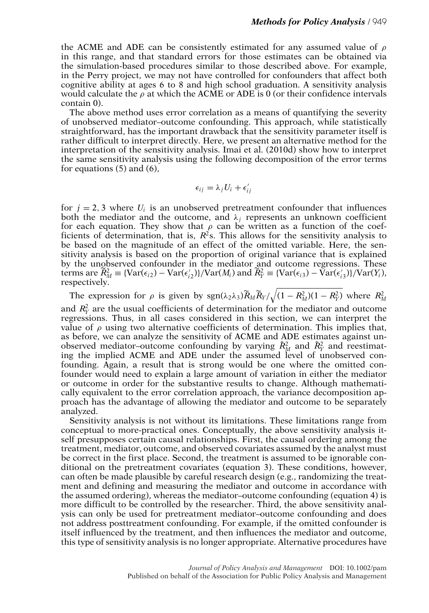the ACME and ADE can be consistently estimated for any assumed value of  $\rho$ in this range, and that standard errors for those estimates can be obtained via the simulation-based procedures similar to those described above. For example, in the Perry project, we may not have controlled for confounders that affect both cognitive ability at ages 6 to 8 and high school graduation. A sensitivity analysis would calculate the  $\rho$  at which the ACME or ADE is 0 (or their confidence intervals contain 0).

The above method uses error correlation as a means of quantifying the severity of unobserved mediator–outcome confounding. This approach, while statistically straightforward, has the important drawback that the sensitivity parameter itself is rather difficult to interpret directly. Here, we present an alternative method for the interpretation of the sensitivity analysis. Imai et al. (2010d) show how to interpret the same sensitivity analysis using the following decomposition of the error terms for equations (5) and (6),

$$
\epsilon_{ij} = \lambda_j U_i + \epsilon'_{ij}
$$

for  $j = 2, 3$  where  $U_i$  is an unobserved pretreatment confounder that influences both the mediator and the outcome, and  $\lambda_i$  represents an unknown coefficient for each equation. They show that  $\rho$  can be written as a function of the coefficients of determination, that is,  $R^2$ s. This allows for the sensitivity analysis to be based on the magnitude of an effect of the omitted variable. Here, the sensitivity analysis is based on the proportion of original variance that is explained by the unobserved confounder in the mediator and outcome regressions. These terms are  $\widetilde{R}_{M}^{2} \equiv \{Var(\epsilon_{i2}) - Var(\epsilon'_{i2})\}/Var(M_{i})$  and  $\widetilde{R}_{Y}^{2} \equiv \{Var(\epsilon_{i3}) - Var(\epsilon'_{i3})\}/Var(Y_{i}),$ respectively.

The expression for  $\rho$  is given by  $sgn(\lambda_2\lambda_3)\widetilde{R}_M\widetilde{R}_Y/\sqrt{(1-R_M^2)(1-R_Y^2)}$  where  $R_M^2$ and  $R_Y^2$  are the usual coefficients of determination for the mediator and outcome regressions. Thus, in all cases considered in this section, we can interpret the value of  $\rho$  using two alternative coefficients of determination. This implies that, as before, we can analyze the sensitivity of ACME and ADE estimates against unobserved mediator-outcome confounding by varying  $\tilde{R}_{M}^{2}$  and  $\tilde{R}_{Y}^{2}$  and reestimating the implied ACME and ADE under the assumed level of unobserved confounding. Again, a result that is strong would be one where the omitted confounder would need to explain a large amount of variation in either the mediator or outcome in order for the substantive results to change. Although mathematically equivalent to the error correlation approach, the variance decomposition approach has the advantage of allowing the mediator and outcome to be separately analyzed.

Sensitivity analysis is not without its limitations. These limitations range from conceptual to more-practical ones. Conceptually, the above sensitivity analysis itself presupposes certain causal relationships. First, the causal ordering among the treatment, mediator, outcome, and observed covariates assumed by the analyst must be correct in the first place. Second, the treatment is assumed to be ignorable conditional on the pretreatment covariates (equation 3). These conditions, however, can often be made plausible by careful research design (e.g., randomizing the treatment and defining and measuring the mediator and outcome in accordance with the assumed ordering), whereas the mediator–outcome confounding (equation 4) is more difficult to be controlled by the researcher. Third, the above sensitivity analysis can only be used for pretreatment mediator–outcome confounding and does not address posttreatment confounding. For example, if the omitted confounder is itself influenced by the treatment, and then influences the mediator and outcome, this type of sensitivity analysis is no longer appropriate. Alternative procedures have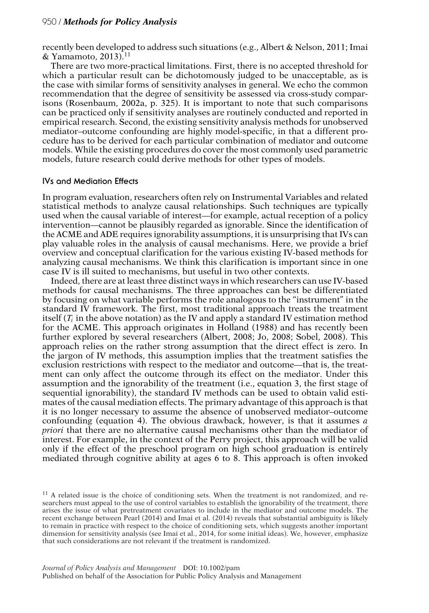recently been developed to address such situations (e.g., Albert & Nelson, 2011; Imai  $&$  Yamamoto, 2013).<sup>11</sup>

There are two more-practical limitations. First, there is no accepted threshold for which a particular result can be dichotomously judged to be unacceptable, as is the case with similar forms of sensitivity analyses in general. We echo the common recommendation that the degree of sensitivity be assessed via cross-study comparisons (Rosenbaum, 2002a, p. 325). It is important to note that such comparisons can be practiced only if sensitivity analyses are routinely conducted and reported in empirical research. Second, the existing sensitivity analysis methods for unobserved mediator–outcome confounding are highly model-specific, in that a different procedure has to be derived for each particular combination of mediator and outcome models. While the existing procedures do cover the most commonly used parametric models, future research could derive methods for other types of models.

## **IVs and Mediation Effects**

In program evaluation, researchers often rely on Instrumental Variables and related statistical methods to analyze causal relationships. Such techniques are typically used when the causal variable of interest—for example, actual reception of a policy intervention—cannot be plausibly regarded as ignorable. Since the identification of the ACME and ADE requires ignorability assumptions, it is unsurprising that IVs can play valuable roles in the analysis of causal mechanisms. Here, we provide a brief overview and conceptual clarification for the various existing IV-based methods for analyzing causal mechanisms. We think this clarification is important since in one case IV is ill suited to mechanisms, but useful in two other contexts.

Indeed, there are at least three distinct ways in which researchers can use IV-based methods for causal mechanisms. The three approaches can best be differentiated by focusing on what variable performs the role analogous to the "instrument" in the standard IV framework. The first, most traditional approach treats the treatment itself  $(T<sub>i</sub>$  in the above notation) as the IV and apply a standard IV estimation method for the ACME. This approach originates in Holland (1988) and has recently been further explored by several researchers (Albert, 2008; Jo, 2008; Sobel, 2008). This approach relies on the rather strong assumption that the direct effect is zero. In the jargon of IV methods, this assumption implies that the treatment satisfies the exclusion restrictions with respect to the mediator and outcome—that is, the treatment can only affect the outcome through its effect on the mediator. Under this assumption and the ignorability of the treatment (i.e., equation 3, the first stage of sequential ignorability), the standard IV methods can be used to obtain valid estimates of the causal mediation effects. The primary advantage of this approach is that it is no longer necessary to assume the absence of unobserved mediator–outcome confounding (equation 4). The obvious drawback, however, is that it assumes *a priori* that there are no alternative causal mechanisms other than the mediator of interest. For example, in the context of the Perry project, this approach will be valid only if the effect of the preschool program on high school graduation is entirely mediated through cognitive ability at ages 6 to 8. This approach is often invoked

 $11$  A related issue is the choice of conditioning sets. When the treatment is not randomized, and researchers must appeal to the use of control variables to establish the ignorability of the treatment, there arises the issue of what pretreatment covariates to include in the mediator and outcome models. The recent exchange between Pearl (2014) and Imai et al. (2014) reveals that substantial ambiguity is likely to remain in practice with respect to the choice of conditioning sets, which suggests another important dimension for sensitivity analysis (see Imai et al., 2014, for some initial ideas). We, however, emphasize that such considerations are not relevant if the treatment is randomized.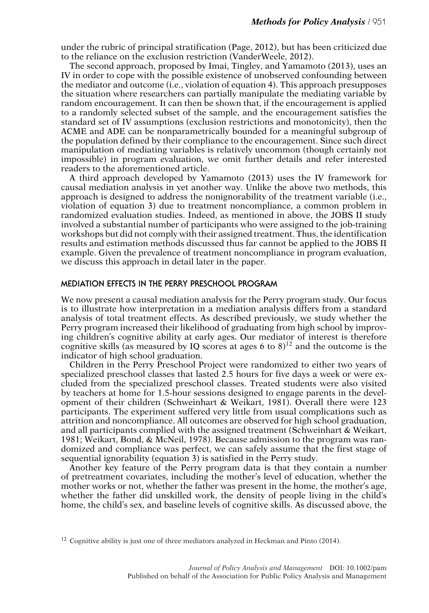under the rubric of principal stratification (Page, 2012), but has been criticized due to the reliance on the exclusion restriction (VanderWeele, 2012).

The second approach, proposed by Imai, Tingley, and Yamamoto (2013), uses an IV in order to cope with the possible existence of unobserved confounding between the mediator and outcome (i.e., violation of equation 4). This approach presupposes the situation where researchers can partially manipulate the mediating variable by random encouragement. It can then be shown that, if the encouragement is applied to a randomly selected subset of the sample, and the encouragement satisfies the standard set of IV assumptions (exclusion restrictions and monotonicity), then the ACME and ADE can be nonparametrically bounded for a meaningful subgroup of the population defined by their compliance to the encouragement. Since such direct manipulation of mediating variables is relatively uncommon (though certainly not impossible) in program evaluation, we omit further details and refer interested readers to the aforementioned article.

A third approach developed by Yamamoto (2013) uses the IV framework for causal mediation analysis in yet another way. Unlike the above two methods, this approach is designed to address the nonignorability of the treatment variable (i.e., violation of equation 3) due to treatment noncompliance, a common problem in randomized evaluation studies. Indeed, as mentioned in above, the JOBS II study involved a substantial number of participants who were assigned to the job-training workshops but did not comply with their assigned treatment. Thus, the identification results and estimation methods discussed thus far cannot be applied to the JOBS II example. Given the prevalence of treatment noncompliance in program evaluation, we discuss this approach in detail later in the paper.

#### **MEDIATION EFFECTS IN THE PERRY PRESCHOOL PROGRAM**

We now present a causal mediation analysis for the Perry program study. Our focus is to illustrate how interpretation in a mediation analysis differs from a standard analysis of total treatment effects. As described previously, we study whether the Perry program increased their likelihood of graduating from high school by improving children's cognitive ability at early ages. Our mediator of interest is therefore cognitive skills (as measured by IQ scores at ages 6 to  $8$ )<sup>12</sup> and the outcome is the indicator of high school graduation.

Children in the Perry Preschool Project were randomized to either two years of specialized preschool classes that lasted 2.5 hours for five days a week or were excluded from the specialized preschool classes. Treated students were also visited by teachers at home for 1.5-hour sessions designed to engage parents in the development of their children (Schweinhart & Weikart, 1981). Overall there were 123 participants. The experiment suffered very little from usual complications such as attrition and noncompliance. All outcomes are observed for high school graduation, and all participants complied with the assigned treatment (Schweinhart & Weikart, 1981; Weikart, Bond, & McNeil, 1978). Because admission to the program was randomized and compliance was perfect, we can safely assume that the first stage of sequential ignorability (equation 3) is satisfied in the Perry study.

Another key feature of the Perry program data is that they contain a number of pretreatment covariates, including the mother's level of education, whether the mother works or not, whether the father was present in the home, the mother's age, whether the father did unskilled work, the density of people living in the child's home, the child's sex, and baseline levels of cognitive skills. As discussed above, the

<sup>&</sup>lt;sup>12</sup> Cognitive ability is just one of three mediators analyzed in Heckman and Pinto (2014).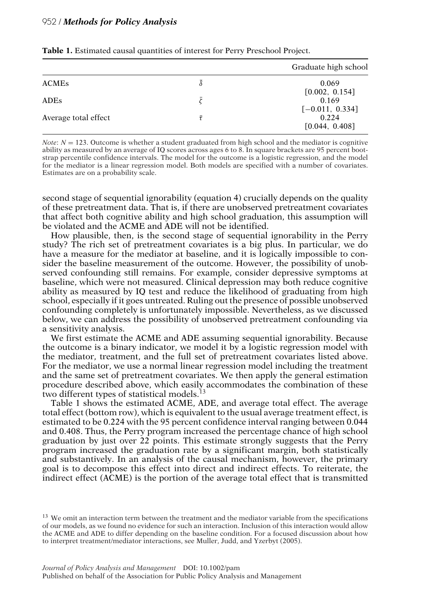|                      |                | Graduate high school       |
|----------------------|----------------|----------------------------|
| <b>ACMEs</b>         | $\bar{\delta}$ | 0.069<br>[0.002, 0.154]    |
| ADEs                 |                | 0.169<br>$[-0.011, 0.334]$ |
| Average total effect | $\bar{\tau}$   | 0.224<br>[0.044, 0.408]    |

| <b>Table 1.</b> Estimated causal quantities of interest for Perry Preschool Project. |  |
|--------------------------------------------------------------------------------------|--|
|--------------------------------------------------------------------------------------|--|

*Note*:  $N = 123$ . Outcome is whether a student graduated from high school and the mediator is cognitive ability as measured by an average of IQ scores across ages 6 to 8. In square brackets are 95 percent bootstrap percentile confidence intervals. The model for the outcome is a logistic regression, and the model for the mediator is a linear regression model. Both models are specified with a number of covariates. Estimates are on a probability scale.

second stage of sequential ignorability (equation 4) crucially depends on the quality of these pretreatment data. That is, if there are unobserved pretreatment covariates that affect both cognitive ability and high school graduation, this assumption will be violated and the ACME and ADE will not be identified.

How plausible, then, is the second stage of sequential ignorability in the Perry study? The rich set of pretreatment covariates is a big plus. In particular, we do have a measure for the mediator at baseline, and it is logically impossible to consider the baseline measurement of the outcome. However, the possibility of unobserved confounding still remains. For example, consider depressive symptoms at baseline, which were not measured. Clinical depression may both reduce cognitive ability as measured by IQ test and reduce the likelihood of graduating from high school, especially if it goes untreated. Ruling out the presence of possible unobserved confounding completely is unfortunately impossible. Nevertheless, as we discussed below, we can address the possibility of unobserved pretreatment confounding via a sensitivity analysis.

We first estimate the ACME and ADE assuming sequential ignorability. Because the outcome is a binary indicator, we model it by a logistic regression model with the mediator, treatment, and the full set of pretreatment covariates listed above. For the mediator, we use a normal linear regression model including the treatment and the same set of pretreatment covariates. We then apply the general estimation procedure described above, which easily accommodates the combination of these two different types of statistical models.<sup>13</sup>

Table 1 shows the estimated ACME, ADE, and average total effect. The average total effect (bottom row), which is equivalent to the usual average treatment effect, is estimated to be 0.224 with the 95 percent confidence interval ranging between 0.044 and 0.408. Thus, the Perry program increased the percentage chance of high school graduation by just over 22 points. This estimate strongly suggests that the Perry program increased the graduation rate by a significant margin, both statistically and substantively. In an analysis of the causal mechanism, however, the primary goal is to decompose this effect into direct and indirect effects. To reiterate, the indirect effect (ACME) is the portion of the average total effect that is transmitted

<sup>&</sup>lt;sup>13</sup> We omit an interaction term between the treatment and the mediator variable from the specifications of our models, as we found no evidence for such an interaction. Inclusion of this interaction would allow the ACME and ADE to differ depending on the baseline condition. For a focused discussion about how to interpret treatment/mediator interactions, see Muller, Judd, and Yzerbyt (2005).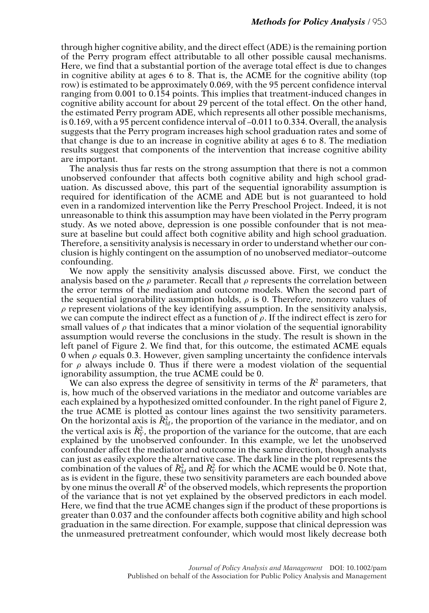through higher cognitive ability, and the direct effect (ADE) is the remaining portion of the Perry program effect attributable to all other possible causal mechanisms. Here, we find that a substantial portion of the average total effect is due to changes in cognitive ability at ages 6 to 8. That is, the ACME for the cognitive ability (top row) is estimated to be approximately 0.069, with the 95 percent confidence interval ranging from 0.001 to 0.154 points. This implies that treatment-induced changes in cognitive ability account for about 29 percent of the total effect. On the other hand, the estimated Perry program ADE, which represents all other possible mechanisms, is 0.169, with a 95 percent confidence interval of –0.011 to 0.334. Overall, the analysis suggests that the Perry program increases high school graduation rates and some of that change is due to an increase in cognitive ability at ages 6 to 8. The mediation results suggest that components of the intervention that increase cognitive ability are important.

The analysis thus far rests on the strong assumption that there is not a common unobserved confounder that affects both cognitive ability and high school graduation. As discussed above, this part of the sequential ignorability assumption is required for identification of the ACME and ADE but is not guaranteed to hold even in a randomized intervention like the Perry Preschool Project. Indeed, it is not unreasonable to think this assumption may have been violated in the Perry program study. As we noted above, depression is one possible confounder that is not measure at baseline but could affect both cognitive ability and high school graduation. Therefore, a sensitivity analysis is necessary in order to understand whether our conclusion is highly contingent on the assumption of no unobserved mediator–outcome confounding.

We now apply the sensitivity analysis discussed above. First, we conduct the analysis based on the  $\rho$  parameter. Recall that  $\rho$  represents the correlation between the error terms of the mediation and outcome models. When the second part of the sequential ignorability assumption holds,  $\rho$  is 0. Therefore, nonzero values of  $\rho$  represent violations of the key identifying assumption. In the sensitivity analysis, we can compute the indirect effect as a function of  $\rho$ . If the indirect effect is zero for small values of  $\rho$  that indicates that a minor violation of the sequential ignorability assumption would reverse the conclusions in the study. The result is shown in the left panel of Figure 2. We find that, for this outcome, the estimated ACME equals 0 when  $\rho$  equals 0.3. However, given sampling uncertainty the confidence intervals for  $\rho$  always include 0. Thus if there were a modest violation of the sequential ignorability assumption, the true ACME could be 0.

We can also express the degree of sensitivity in terms of the  $\bar{R}^2$  parameters, that is, how much of the observed variations in the mediator and outcome variables are each explained by a hypothesized omitted confounder. In the right panel of Figure 2, the true ACME is plotted as contour lines against the two sensitivity parameters. On the horizontal axis is  $\tilde{R}_M^2$ , the proportion of the variance in the mediator, and on the vertical axis is  $\tilde{R}_{Y}^{2}$ , the proportion of the variance for the outcome, that are each explained by the unobserved confounder. In this example, we let the unobserved confounder affect the mediator and outcome in the same direction, though analysts can just as easily explore the alternative case. The dark line in the plot represents the combination of the values of  $\tilde{R}^2_M$  and  $\tilde{R}^2_Y$  for which the ACME would be 0. Note that, as is evident in the figure, these two sensitivity parameters are each bounded above by one minus the overall  $R^2$  of the observed models, which represents the proportion of the variance that is not yet explained by the observed predictors in each model. Here, we find that the true ACME changes sign if the product of these proportions is greater than 0.037 and the confounder affects both cognitive ability and high school graduation in the same direction. For example, suppose that clinical depression was the unmeasured pretreatment confounder, which would most likely decrease both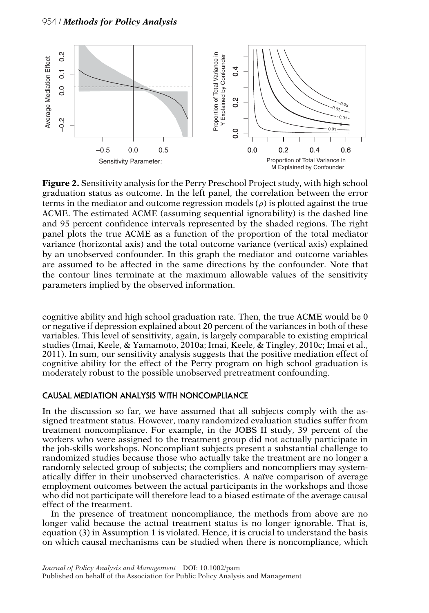

**Figure 2.** Sensitivity analysis for the Perry Preschool Project study, with high school graduation status as outcome. In the left panel, the correlation between the error terms in the mediator and outcome regression models  $(\rho)$  is plotted against the true ACME. The estimated ACME (assuming sequential ignorability) is the dashed line and 95 percent confidence intervals represented by the shaded regions. The right panel plots the true ACME as a function of the proportion of the total mediator variance (horizontal axis) and the total outcome variance (vertical axis) explained by an unobserved confounder. In this graph the mediator and outcome variables are assumed to be affected in the same directions by the confounder. Note that the contour lines terminate at the maximum allowable values of the sensitivity parameters implied by the observed information.

cognitive ability and high school graduation rate. Then, the true ACME would be 0 or negative if depression explained about 20 percent of the variances in both of these variables. This level of sensitivity, again, is largely comparable to existing empirical studies (Imai, Keele, & Yamamoto, 2010a; Imai, Keele, & Tingley, 2010c; Imai et al., 2011). In sum, our sensitivity analysis suggests that the positive mediation effect of cognitive ability for the effect of the Perry program on high school graduation is moderately robust to the possible unobserved pretreatment confounding.

## **CAUSAL MEDIATION ANALYSIS WITH NONCOMPLIANCE**

In the discussion so far, we have assumed that all subjects comply with the assigned treatment status. However, many randomized evaluation studies suffer from treatment noncompliance. For example, in the JOBS II study, 39 percent of the workers who were assigned to the treatment group did not actually participate in the job-skills workshops. Noncompliant subjects present a substantial challenge to randomized studies because those who actually take the treatment are no longer a randomly selected group of subjects; the compliers and noncompliers may systematically differ in their unobserved characteristics. A naïve comparison of average employment outcomes between the actual participants in the workshops and those who did not participate will therefore lead to a biased estimate of the average causal effect of the treatment.

In the presence of treatment noncompliance, the methods from above are no longer valid because the actual treatment status is no longer ignorable. That is, equation (3) in Assumption 1 is violated. Hence, it is crucial to understand the basis on which causal mechanisms can be studied when there is noncompliance, which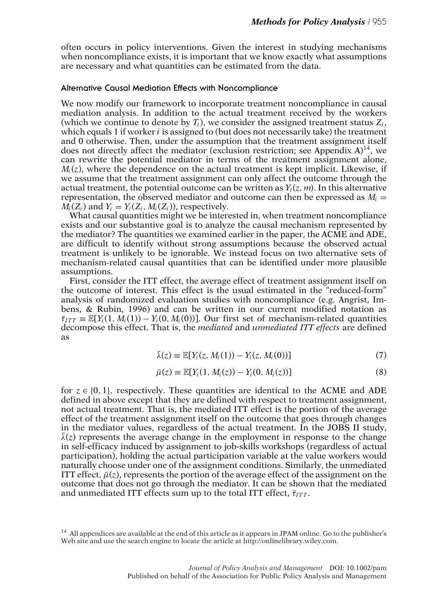often occurs in policy interventions. Given the interest in studying mechanisms when noncompliance exists, it is important that we know exactly what assumptions are necessary and what quantities can be estimated from the data.

#### **Alternative Causal Mediation Effects with Noncompliance**

We now modify our framework to incorporate treatment noncompliance in causal mediation analysis. In addition to the actual treatment received by the workers (which we continue to denote by  $T_i$ ), we consider the assigned treatment status  $Z_i$ , which equals 1 if worker  $i$  is assigned to (but does not necessarily take) the treatment and 0 otherwise. Then, under the assumption that the treatment assignment itself does not directly affect the mediator (exclusion restriction; see Appendix  $A$ )<sup>14</sup>, we can rewrite the potential mediator in terms of the treatment assignment alone,  $M_i(z)$ , where the dependence on the actual treatment is kept implicit. Likewise, if we assume that the treatment assignment can only affect the outcome through the actual treatment, the potential outcome can be written as  $Y_i(z, m)$ . In this alternative representation, the observed mediator and outcome can then be expressed as  $M_i =$  $M_i(Z_i)$  and  $Y_i = Y_i(Z_i, M_i(Z_i))$ , respectively.

What causal quantities might we be interested in, when treatment noncompliance exists and our substantive goal is to analyze the causal mechanism represented by the mediator? The quantities we examined earlier in the paper, the ACME and ADE, are difficult to identify without strong assumptions because the observed actual treatment is unlikely to be ignorable. We instead focus on two alternative sets of mechanism-related causal quantities that can be identified under more plausible assumptions.

First, consider the ITT effect, the average effect of treatment assignment itself on the outcome of interest. This effect is the usual estimated in the "reduced-form" analysis of randomized evaluation studies with noncompliance (e.g. Angrist, Imbens, & Rubin, 1996) and can be written in our current modified notation as  $\bar{\tau}_{ITT} \equiv \mathbb{E}[Y_i(1, M_i(1)) - Y_i(0, M_i(0))]$ . Our first set of mechanism-related quantities decompose this effect. That is, the *mediated* and *unmediated ITT effects* are defined as

$$
\bar{\lambda}(z) \equiv \mathbb{E}[Y_i(z, M_i(1)) - Y_i(z, M_i(0))]
$$
\n(7)

$$
\bar{\mu}(z) \equiv \mathbb{E}[Y_i(1, M_i(z)) - Y_i(0, M_i(z))]
$$
\n(8)

for  $z \in \{0, 1\}$ , respectively. These quantities are identical to the ACME and ADE defined in above except that they are defined with respect to treatment assignment, not actual treatment. That is, the mediated ITT effect is the portion of the average effect of the treatment assignment itself on the outcome that goes through changes in the mediator values, regardless of the actual treatment. In the JOBS II study,  $\lambda(z)$  represents the average change in the employment in response to the change in self-efficacy induced by assignment to job-skills workshops (regardless of actual participation), holding the actual participation variable at the value workers would naturally choose under one of the assignment conditions. Similarly, the unmediated ITT effect,  $\bar{\mu}(z)$ , represents the portion of the average effect of the assignment on the outcome that does not go through the mediator. It can be shown that the mediated and unmediated ITT effects sum up to the total ITT effect,  $\bar{\tau}_{ITT}$ .

<sup>&</sup>lt;sup>14</sup> All appendices are available at the end of this article as it appears in JPAM online. Go to the publisher's Web site and use the search engine to locate the article at http://onlinelibrary.wiley.com.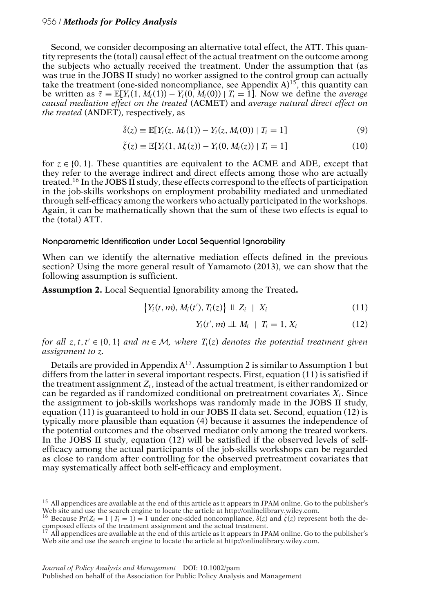Second, we consider decomposing an alternative total effect, the ATT. This quantity represents the (total) causal effect of the actual treatment on the outcome among the subjects who actually received the treatment. Under the assumption that (as was true in the JOBS II study) no worker assigned to the control group can actually take the treatment (one-sided noncompliance, see Appendix  $A$ )<sup>15</sup>, this quantity can be written as  $\tilde{\tau} = \mathbb{E}[Y_i(1, M_i(1)) - Y_i(0, M_i(0)) | T_i = 1]$ . Now we define the *average causal mediation effect on the treated* (ACMET) and *average natural direct effect on the treated* (ANDET), respectively, as

$$
\tilde{\delta}(z) \equiv \mathbb{E}[Y_i(z, M_i(1)) - Y_i(z, M_i(0)) | T_i = 1]
$$
\n(9)

$$
\tilde{\zeta}(z) \equiv \mathbb{E}[Y_i(1, M_i(z)) - Y_i(0, M_i(z)) | T_i = 1]
$$
\n(10)

for  $z \in \{0, 1\}$ . These quantities are equivalent to the ACME and ADE, except that they refer to the average indirect and direct effects among those who are actually treated.<sup>16</sup> In the JOBS II study, these effects correspond to the effects of participation in the job-skills workshops on employment probability mediated and unmediated through self-efficacy among the workers who actually participated in the workshops. Again, it can be mathematically shown that the sum of these two effects is equal to the (total) ATT.

## **Nonparametric Identification under Local Sequential Ignorability**

When can we identify the alternative mediation effects defined in the previous section? Using the more general result of Yamamoto (2013), we can show that the following assumption is sufficient.

**Assumption 2.** Local Sequential Ignorability among the Treated**.**

$$
\{Y_i(t, m), M_i(t'), T_i(z)\} \perp\!\!\!\perp Z_i \mid X_i \tag{11}
$$

$$
Y_i(t',m) \perp \!\!\!\perp M_i \mid T_i = 1, X_i \tag{12}
$$

*for all z, t, t'*  $\in$  {0, 1} *and m*  $\in$  *M, where T<sub>i</sub>(z) denotes the potential treatment given assignment to z.*

Details are provided in Appendix  $A^{17}$ . Assumption 2 is similar to Assumption 1 but differs from the latter in several important respects. First, equation (11) is satisfied if the treatment assignment *Zi*, instead of the actual treatment, is either randomized or can be regarded as if randomized conditional on pretreatment covariates  $X_i$ . Since the assignment to job-skills workshops was randomly made in the JOBS II study, equation (11) is guaranteed to hold in our JOBS II data set. Second, equation (12) is typically more plausible than equation (4) because it assumes the independence of the potential outcomes and the observed mediator only among the treated workers. In the JOBS II study, equation (12) will be satisfied if the observed levels of selfefficacy among the actual participants of the job-skills workshops can be regarded as close to random after controlling for the observed pretreatment covariates that may systematically affect both self-efficacy and employment.

<sup>&</sup>lt;sup>15</sup> All appendices are available at the end of this article as it appears in JPAM online. Go to the publisher's

Web site and use the search engine to locate the article at http://onlinelibrary.wiley.com.<br><sup>16</sup> Because Pr(*Z<sub>i</sub>* = 1 | *T<sub>i</sub>* = 1) = 1 under one-sided noncompliance,  $\bar{\delta}(z)$  and  $\tilde{\zeta}(z)$  represent both the de-

composed effects of the treatment assignment and the actual treatment. <sup>17</sup> All appendices are available at the end of this article as it appears in JPAM online. Go to the publisher's Web site and use the search engine to locate the article at http://onlinelibrary.wiley.com.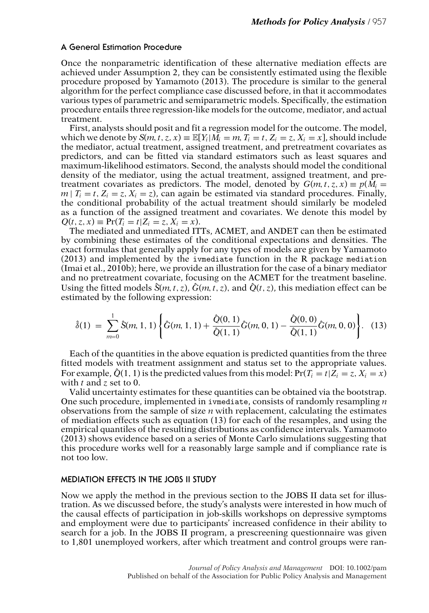#### **A General Estimation Procedure**

Once the nonparametric identification of these alternative mediation effects are achieved under Assumption 2, they can be consistently estimated using the flexible procedure proposed by Yamamoto (2013). The procedure is similar to the general algorithm for the perfect compliance case discussed before, in that it accommodates various types of parametric and semiparametric models. Specifically, the estimation procedure entails three regression-like models for the outcome, mediator, and actual treatment.

First, analysts should posit and fit a regression model for the outcome. The model, which we denote by  $S(m, t, z, x) \equiv \mathbb{E}[Y_i|M_i = m, T_i = t, Z_i = z, X_i = x]$ , should include the mediator, actual treatment, assigned treatment, and pretreatment covariates as predictors, and can be fitted via standard estimators such as least squares and maximum-likelihood estimators. Second, the analysts should model the conditional density of the mediator, using the actual treatment, assigned treatment, and pretreatment covariates as predictors. The model, denoted by  $G(m, t, z, x) \equiv p(M_i =$  $m | T_i = t, Z_i = z, X_i = z$ , can again be estimated via standard procedures. Finally, the conditional probability of the actual treatment should similarly be modeled as a function of the assigned treatment and covariates. We denote this model by  $Q(t, z, x) \equiv Pr(T_i = t | Z_i = z, X_i = x).$ 

The mediated and unmediated ITTs, ACMET, and ANDET can then be estimated by combining these estimates of the conditional expectations and densities. The exact formulas that generally apply for any types of models are given by Yamamoto (2013) and implemented by the ivmediate function in the R package mediation (Imai et al., 2010b); here, we provide an illustration for the case of a binary mediator and no pretreatment covariate, focusing on the ACMET for the treatment baseline. Using the fitted models  $\hat{S}(m, t, z)$ ,  $\hat{G}(m, t, z)$ , and  $\hat{Q}(t, z)$ , this mediation effect can be estimated by the following expression:

$$
\hat{\delta}(1) = \sum_{m=0}^{1} \hat{S}(m, 1, 1) \left\{ \hat{G}(m, 1, 1) + \frac{\hat{Q}(0, 1)}{\hat{Q}(1, 1)} \hat{G}(m, 0, 1) - \frac{\hat{Q}(0, 0)}{\hat{Q}(1, 1)} \hat{G}(m, 0, 0) \right\}.
$$
 (13)

Each of the quantities in the above equation is predicted quantities from the three fitted models with treatment assignment and status set to the appropriate values. For example,  $\hat{Q}(1, 1)$  is the predicted values from this model:  $Pr(T_i = t | Z_i = z, X_i = x)$ with *t* and *z* set to 0.

Valid uncertainty estimates for these quantities can be obtained via the bootstrap. One such procedure, implemented in ivmediate, consists of randomly resampling *n* observations from the sample of size *n* with replacement, calculating the estimates of mediation effects such as equation (13) for each of the resamples, and using the empirical quantiles of the resulting distributions as confidence intervals. Yamamoto (2013) shows evidence based on a series of Monte Carlo simulations suggesting that this procedure works well for a reasonably large sample and if compliance rate is not too low.

## **MEDIATION EFFECTS IN THE JOBS II STUDY**

Now we apply the method in the previous section to the JOBS II data set for illustration. As we discussed before, the study's analysts were interested in how much of the causal effects of participation in job-skills workshops on depressive symptoms and employment were due to participants' increased confidence in their ability to search for a job. In the JOBS II program, a prescreening questionnaire was given to 1,801 unemployed workers, after which treatment and control groups were ran-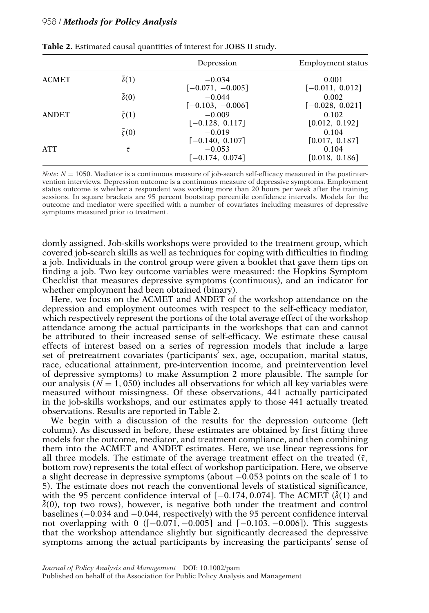|              |                    | Depression         | Employment status |
|--------------|--------------------|--------------------|-------------------|
| <b>ACMET</b> | $\delta(1)$        | $-0.034$           | 0.001             |
|              |                    | $[-0.071, -0.005]$ | $[-0.011, 0.012]$ |
|              | $\delta(0)$        | $-0.044$           | 0.002             |
|              |                    | $[-0.103, -0.006]$ | $[-0.028, 0.021]$ |
| <b>ANDET</b> | $\tilde{\zeta}(1)$ | $-0.009$           | 0.102             |
|              |                    | $[-0.128, 0.117]$  | [0.012, 0.192]    |
|              | $\tilde{\zeta}(0)$ | $-0.019$           | 0.104             |
|              |                    | $[-0.140, 0.107]$  | [0.017, 0.187]    |
| <b>ATT</b>   | $\tilde{\tau}$     | $-0.053$           | 0.104             |
|              |                    | $[-0.174, 0.074]$  | [0.018, 0.186]    |

| <b>Table 2.</b> Estimated causal quantities of interest for JOBS II study. |  |  |  |  |  |  |  |  |  |  |  |  |  |  |  |  |  |
|----------------------------------------------------------------------------|--|--|--|--|--|--|--|--|--|--|--|--|--|--|--|--|--|
|----------------------------------------------------------------------------|--|--|--|--|--|--|--|--|--|--|--|--|--|--|--|--|--|

*Note*:  $N = 1050$ . Mediator is a continuous measure of job-search self-efficacy measured in the postintervention interviews. Depression outcome is a continuous measure of depressive symptoms. Employment status outcome is whether a respondent was working more than 20 hours per week after the training sessions. In square brackets are 95 percent bootstrap percentile confidence intervals. Models for the outcome and mediator were specified with a number of covariates including measures of depressive symptoms measured prior to treatment.

domly assigned. Job-skills workshops were provided to the treatment group, which covered job-search skills as well as techniques for coping with difficulties in finding a job. Individuals in the control group were given a booklet that gave them tips on finding a job. Two key outcome variables were measured: the Hopkins Symptom Checklist that measures depressive symptoms (continuous), and an indicator for whether employment had been obtained (binary).

Here, we focus on the ACMET and ANDET of the workshop attendance on the depression and employment outcomes with respect to the self-efficacy mediator, which respectively represent the portions of the total average effect of the workshop attendance among the actual participants in the workshops that can and cannot be attributed to their increased sense of self-efficacy. We estimate these causal effects of interest based on a series of regression models that include a large set of pretreatment covariates (participants' sex, age, occupation, marital status, race, educational attainment, pre-intervention income, and preintervention level of depressive symptoms) to make Assumption 2 more plausible. The sample for our analysis ( $N = 1,050$ ) includes all observations for which all key variables were measured without missingness. Of these observations, 441 actually participated in the job-skills workshops, and our estimates apply to those 441 actually treated observations. Results are reported in Table 2.

We begin with a discussion of the results for the depression outcome (left column). As discussed in before, these estimates are obtained by first fitting three models for the outcome, mediator, and treatment compliance, and then combining them into the ACMET and ANDET estimates. Here, we use linear regressions for all three models. The estimate of the average treatment effect on the treated  $(\tilde{\tau}, \tilde{\tau})$ bottom row) represents the total effect of workshop participation. Here, we observe a slight decrease in depressive symptoms (about −0.053 points on the scale of 1 to 5). The estimate does not reach the conventional levels of statistical significance, with the 95 percent confidence interval of  $[-0.174, 0.074]$ . The ACMET ( $\delta(1)$  and  $\delta(0)$ , top two rows), however, is negative both under the treatment and control baselines (−0.034 and −0.044, respectively) with the 95 percent confidence interval not overlapping with 0 ([−0.071, −0.005] and [−0.103, −0.006]). This suggests that the workshop attendance slightly but significantly decreased the depressive symptoms among the actual participants by increasing the participants' sense of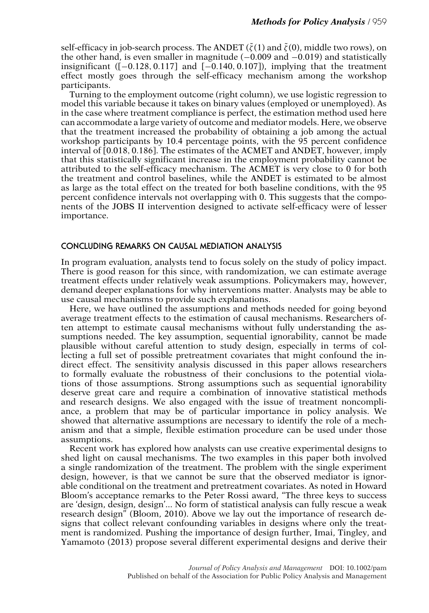self-efficacy in job-search process. The ANDET ( $\tilde{\zeta}(1)$  and  $\tilde{\zeta}(0)$ , middle two rows), on the other hand, is even smaller in magnitude (−0.009 and −0.019) and statistically insignificant ( $[-0.128, 0.117]$  and  $[-0.140, 0.107]$ ), implying that the treatment effect mostly goes through the self-efficacy mechanism among the workshop participants.

Turning to the employment outcome (right column), we use logistic regression to model this variable because it takes on binary values (employed or unemployed). As in the case where treatment compliance is perfect, the estimation method used here can accommodate a large variety of outcome and mediator models. Here, we observe that the treatment increased the probability of obtaining a job among the actual workshop participants by 10.4 percentage points, with the 95 percent confidence interval of [0.018, 0.186]. The estimates of the ACMET and ANDET, however, imply that this statistically significant increase in the employment probability cannot be attributed to the self-efficacy mechanism. The ACMET is very close to 0 for both the treatment and control baselines, while the ANDET is estimated to be almost as large as the total effect on the treated for both baseline conditions, with the 95 percent confidence intervals not overlapping with 0. This suggests that the components of the JOBS II intervention designed to activate self-efficacy were of lesser importance.

#### **CONCLUDING REMARKS ON CAUSAL MEDIATION ANALYSIS**

In program evaluation, analysts tend to focus solely on the study of policy impact. There is good reason for this since, with randomization, we can estimate average treatment effects under relatively weak assumptions. Policymakers may, however, demand deeper explanations for why interventions matter. Analysts may be able to use causal mechanisms to provide such explanations.

Here, we have outlined the assumptions and methods needed for going beyond average treatment effects to the estimation of causal mechanisms. Researchers often attempt to estimate causal mechanisms without fully understanding the assumptions needed. The key assumption, sequential ignorability, cannot be made plausible without careful attention to study design, especially in terms of collecting a full set of possible pretreatment covariates that might confound the indirect effect. The sensitivity analysis discussed in this paper allows researchers to formally evaluate the robustness of their conclusions to the potential violations of those assumptions. Strong assumptions such as sequential ignorability deserve great care and require a combination of innovative statistical methods and research designs. We also engaged with the issue of treatment noncompliance, a problem that may be of particular importance in policy analysis. We showed that alternative assumptions are necessary to identify the role of a mechanism and that a simple, flexible estimation procedure can be used under those assumptions.

Recent work has explored how analysts can use creative experimental designs to shed light on causal mechanisms. The two examples in this paper both involved a single randomization of the treatment. The problem with the single experiment design, however, is that we cannot be sure that the observed mediator is ignorable conditional on the treatment and pretreatment covariates. As noted in Howard Bloom's acceptance remarks to the Peter Rossi award, "The three keys to success are 'design, design, design'... No form of statistical analysis can fully rescue a weak research design" (Bloom, 2010). Above we lay out the importance of research designs that collect relevant confounding variables in designs where only the treatment is randomized. Pushing the importance of design further, Imai, Tingley, and Yamamoto (2013) propose several different experimental designs and derive their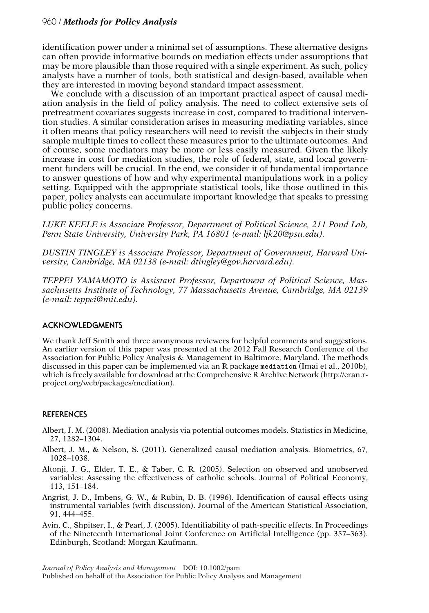identification power under a minimal set of assumptions. These alternative designs can often provide informative bounds on mediation effects under assumptions that may be more plausible than those required with a single experiment. As such, policy analysts have a number of tools, both statistical and design-based, available when they are interested in moving beyond standard impact assessment.

We conclude with a discussion of an important practical aspect of causal mediation analysis in the field of policy analysis. The need to collect extensive sets of pretreatment covariates suggests increase in cost, compared to traditional intervention studies. A similar consideration arises in measuring mediating variables, since it often means that policy researchers will need to revisit the subjects in their study sample multiple times to collect these measures prior to the ultimate outcomes. And of course, some mediators may be more or less easily measured. Given the likely increase in cost for mediation studies, the role of federal, state, and local government funders will be crucial. In the end, we consider it of fundamental importance to answer questions of how and why experimental manipulations work in a policy setting. Equipped with the appropriate statistical tools, like those outlined in this paper, policy analysts can accumulate important knowledge that speaks to pressing public policy concerns.

*LUKE KEELE is Associate Professor, Department of Political Science, 211 Pond Lab, Penn State University, University Park, PA 16801 (e-mail: ljk20@psu.edu).*

*DUSTIN TINGLEY is Associate Professor, Department of Government, Harvard University, Cambridge, MA 02138 (e-mail: dtingley@gov.harvard.edu).*

*TEPPEI YAMAMOTO is Assistant Professor, Department of Political Science, Massachusetts Institute of Technology, 77 Massachusetts Avenue, Cambridge, MA 02139 (e-mail: teppei@mit.edu).*

#### **ACKNOWLEDGMENTS**

We thank Jeff Smith and three anonymous reviewers for helpful comments and suggestions. An earlier version of this paper was presented at the 2012 Fall Research Conference of the Association for Public Policy Analysis & Management in Baltimore, Maryland. The methods discussed in this paper can be implemented via an R package mediation (Imai et al., 2010b), which is freely available for download at the Comprehensive R Archive Network (http://cran.rproject.org/web/packages/mediation).

#### **REFERENCES**

- Albert, J. M. (2008). Mediation analysis via potential outcomes models. Statistics in Medicine, 27, 1282–1304.
- Albert, J. M., & Nelson, S. (2011). Generalized causal mediation analysis. Biometrics, 67, 1028–1038.
- Altonji, J. G., Elder, T. E., & Taber, C. R. (2005). Selection on observed and unobserved variables: Assessing the effectiveness of catholic schools. Journal of Political Economy, 113, 151–184.
- Angrist, J. D., Imbens, G. W., & Rubin, D. B. (1996). Identification of causal effects using instrumental variables (with discussion). Journal of the American Statistical Association, 91, 444–455.
- Avin, C., Shpitser, I., & Pearl, J. (2005). Identifiability of path-specific effects. In Proceedings of the Nineteenth International Joint Conference on Artificial Intelligence (pp. 357–363). Edinburgh, Scotland: Morgan Kaufmann.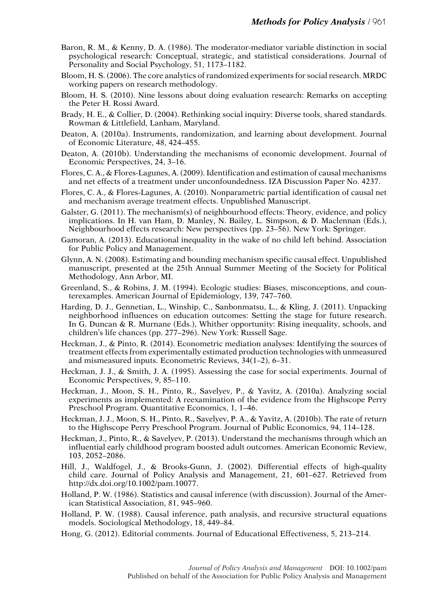- Baron, R. M., & Kenny, D. A. (1986). The moderator-mediator variable distinction in social psychological research: Conceptual, strategic, and statistical considerations. Journal of Personality and Social Psychology, 51, 1173–1182.
- Bloom, H. S. (2006). The core analytics of randomized experiments for social research. MRDC working papers on research methodology.
- Bloom, H. S. (2010). Nine lessons about doing evaluation research: Remarks on accepting the Peter H. Rossi Award.
- Brady, H. E., & Collier, D. (2004). Rethinking social inquiry: Diverse tools, shared standards. Rowman & Littlefield, Lanham, Maryland.
- Deaton, A. (2010a). Instruments, randomization, and learning about development. Journal of Economic Literature, 48, 424–455.
- Deaton, A. (2010b). Understanding the mechanisms of economic development. Journal of Economic Perspectives, 24, 3–16.
- Flores, C. A., & Flores-Lagunes, A. (2009). Identification and estimation of causal mechanisms and net effects of a treatment under unconfoundedness. IZA Discussion Paper No. 4237.
- Flores, C. A., & Flores-Lagunes, A. (2010). Nonparametric partial identification of causal net and mechanism average treatment effects. Unpublished Manuscript.
- Galster, G. (2011). The mechanism(s) of neighbourhood effects: Theory, evidence, and policy implications. In H. van Ham, D. Manley, N. Bailey, L. Simpson, & D. Maclennan (Eds.), Neighbourhood effects research: New perspectives (pp. 23–56). New York: Springer.
- Gamoran, A. (2013). Educational inequality in the wake of no child left behind. Association for Public Policy and Management.
- Glynn, A. N. (2008). Estimating and bounding mechanism specific causal effect. Unpublished manuscript, presented at the 25th Annual Summer Meeting of the Society for Political Methodology, Ann Arbor, MI.
- Greenland, S., & Robins, J. M. (1994). Ecologic studies: Biases, misconceptions, and counterexamples. American Journal of Epidemiology, 139, 747–760.
- Harding, D. J., Gennetian, L., Winship, C., Sanbonmatsu, L., & Kling, J. (2011). Unpacking neighborhood influences on education outcomes: Setting the stage for future research. In G. Duncan & R. Murnane (Eds.), Whither opportunity: Rising inequality, schools, and children's life chances (pp. 277–296). New York: Russell Sage.
- Heckman, J., & Pinto, R. (2014). Econometric mediation analyses: Identifying the sources of treatment effects from experimentally estimated production technologies with unmeasured and mismeasured inputs. Econometric Reviews, 34(1–2), 6–31.
- Heckman, J. J., & Smith, J. A. (1995). Assessing the case for social experiments. Journal of Economic Perspectives, 9, 85–110.
- Heckman, J., Moon, S. H., Pinto, R., Savelyev, P., & Yavitz, A. (2010a). Analyzing social experiments as implemented: A reexamination of the evidence from the Highscope Perry Preschool Program. Quantitative Economics, 1, 1–46.
- Heckman, J. J., Moon, S. H., Pinto, R., Savelyev, P. A., & Yavitz, A. (2010b). The rate of return to the Highscope Perry Preschool Program. Journal of Public Economics, 94, 114–128.
- Heckman, J., Pinto, R., & Savelyev, P. (2013). Understand the mechanisms through which an influential early childhood program boosted adult outcomes. American Economic Review, 103, 2052–2086.
- Hill, J., Waldfogel, J., & Brooks-Gunn, J. (2002). Differential effects of high-quality child care. Journal of Policy Analysis and Management, 21, 601–627. Retrieved from http://dx.doi.org/10.1002/pam.10077.
- Holland, P. W. (1986). Statistics and causal inference (with discussion). Journal of the American Statistical Association, 81, 945–960.
- Holland, P. W. (1988). Causal inference, path analysis, and recursive structural equations models. Sociological Methodology, 18, 449–84.
- Hong, G. (2012). Editorial comments. Journal of Educational Effectiveness, 5, 213–214.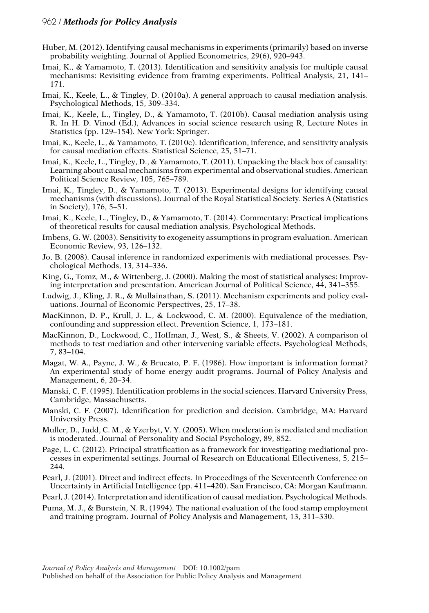- Huber, M. (2012). Identifying causal mechanisms in experiments (primarily) based on inverse probability weighting. Journal of Applied Econometrics, 29(6), 920–943.
- Imai, K., & Yamamoto, T. (2013). Identification and sensitivity analysis for multiple causal mechanisms: Revisiting evidence from framing experiments. Political Analysis, 21, 141– 171.
- Imai, K., Keele, L., & Tingley, D. (2010a). A general approach to causal mediation analysis. Psychological Methods, 15, 309–334.
- Imai, K., Keele, L., Tingley, D., & Yamamoto, T. (2010b). Causal mediation analysis using R. In H. D. Vinod (Ed.), Advances in social science research using R, Lecture Notes in Statistics (pp. 129–154). New York: Springer.
- Imai, K., Keele, L., & Yamamoto, T. (2010c). Identification, inference, and sensitivity analysis for causal mediation effects. Statistical Science, 25, 51–71.
- Imai, K., Keele, L., Tingley, D., & Yamamoto, T. (2011). Unpacking the black box of causality: Learning about causal mechanisms from experimental and observational studies. American Political Science Review, 105, 765–789.
- Imai, K., Tingley, D., & Yamamoto, T. (2013). Experimental designs for identifying causal mechanisms (with discussions). Journal of the Royal Statistical Society. Series A (Statistics in Society), 176, 5–51.
- Imai, K., Keele, L., Tingley, D., & Yamamoto, T. (2014). Commentary: Practical implications of theoretical results for causal mediation analysis, Psychological Methods.
- Imbens, G. W. (2003). Sensitivity to exogeneity assumptions in program evaluation. American Economic Review, 93, 126–132.
- Jo, B. (2008). Causal inference in randomized experiments with mediational processes. Psychological Methods, 13, 314–336.
- King, G., Tomz, M., & Wittenberg, J. (2000). Making the most of statistical analyses: Improving interpretation and presentation. American Journal of Political Science, 44, 341–355.
- Ludwig, J., Kling, J. R., & Mullainathan, S. (2011). Mechanism experiments and policy evaluations. Journal of Economic Perspectives, 25, 17–38.
- MacKinnon, D. P., Krull, J. L., & Lockwood, C. M. (2000). Equivalence of the mediation, confounding and suppression effect. Prevention Science, 1, 173–181.
- MacKinnon, D., Lockwood, C., Hoffman, J., West, S., & Sheets, V. (2002). A comparison of methods to test mediation and other intervening variable effects. Psychological Methods, 7, 83–104.
- Magat, W. A., Payne, J. W., & Brucato, P. F. (1986). How important is information format? An experimental study of home energy audit programs. Journal of Policy Analysis and Management, 6, 20–34.
- Manski, C. F. (1995). Identification problems in the social sciences. Harvard University Press, Cambridge, Massachusetts.
- Manski, C. F. (2007). Identification for prediction and decision. Cambridge, MA: Harvard University Press.
- Muller, D., Judd, C. M., & Yzerbyt, V. Y. (2005). When moderation is mediated and mediation is moderated. Journal of Personality and Social Psychology, 89, 852.
- Page, L. C. (2012). Principal stratification as a framework for investigating mediational processes in experimental settings. Journal of Research on Educational Effectiveness, 5, 215– 244.
- Pearl, J. (2001). Direct and indirect effects. In Proceedings of the Seventeenth Conference on Uncertainty in Artificial Intelligence (pp. 411–420). San Francisco, CA: Morgan Kaufmann.
- Pearl, J. (2014). Interpretation and identification of causal mediation. Psychological Methods.
- Puma, M. J., & Burstein, N. R. (1994). The national evaluation of the food stamp employment and training program. Journal of Policy Analysis and Management, 13, 311–330.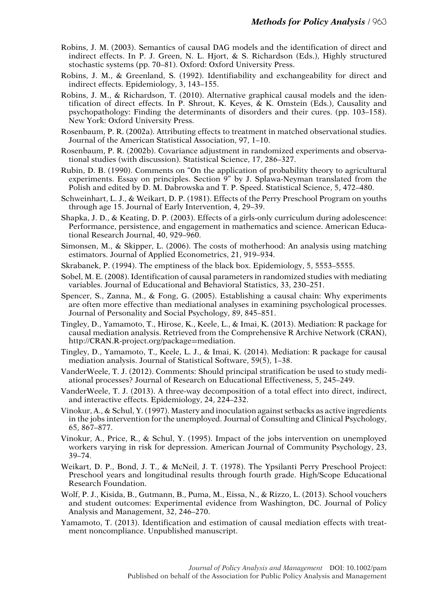- Robins, J. M. (2003). Semantics of causal DAG models and the identification of direct and indirect effects. In P. J. Green, N. L. Hjort, & S. Richardson (Eds.), Highly structured stochastic systems (pp. 70–81). Oxford: Oxford University Press.
- Robins, J. M., & Greenland, S. (1992). Identifiability and exchangeability for direct and indirect effects. Epidemiology, 3, 143–155.
- Robins, J. M., & Richardson, T. (2010). Alternative graphical causal models and the identification of direct effects. In P. Shrout, K. Keyes,  $\&$  K. Omstein (Eds.), Causality and psychopathology: Finding the determinants of disorders and their cures. (pp. 103–158). New York: Oxford University Press.
- Rosenbaum, P. R. (2002a). Attributing effects to treatment in matched observational studies. Journal of the American Statistical Association, 97, 1–10.
- Rosenbaum, P. R. (2002b). Covariance adjustment in randomized experiments and observational studies (with discussion). Statistical Science, 17, 286–327.
- Rubin, D. B. (1990). Comments on "On the application of probability theory to agricultural experiments. Essay on principles. Section 9" by J. Splawa-Neyman translated from the Polish and edited by D. M. Dabrowska and T. P. Speed. Statistical Science, 5, 472–480.
- Schweinhart, L. J., & Weikart, D. P. (1981). Effects of the Perry Preschool Program on youths through age 15. Journal of Early Intervention, 4, 29–39.
- Shapka, J. D., & Keating, D. P. (2003). Effects of a girls-only curriculum during adolescence: Performance, persistence, and engagement in mathematics and science. American Educational Research Journal, 40, 929–960.
- Simonsen, M., & Skipper, L. (2006). The costs of motherhood: An analysis using matching estimators. Journal of Applied Econometrics, 21, 919–934.
- Skrabanek, P. (1994). The emptiness of the black box. Epidemiology, 5, 5553–5555.
- Sobel, M. E. (2008). Identification of causal parameters in randomized studies with mediating variables. Journal of Educational and Behavioral Statistics, 33, 230–251.
- Spencer, S., Zanna, M., & Fong, G. (2005). Establishing a causal chain: Why experiments are often more effective than mediational analyses in examining psychological processes. Journal of Personality and Social Psychology, 89, 845–851.
- Tingley, D., Yamamoto, T., Hirose, K., Keele, L., & Imai, K. (2013). Mediation: R package for causal mediation analysis. Retrieved from the Comprehensive R Archive Network (CRAN), http://CRAN.R-project.org/package=mediation.
- Tingley, D., Yamamoto, T., Keele, L. J., & Imai, K. (2014). Mediation: R package for causal mediation analysis. Journal of Statistical Software, 59(5), 1–38.
- VanderWeele, T. J. (2012). Comments: Should principal stratification be used to study mediational processes? Journal of Research on Educational Effectiveness, 5, 245–249.
- VanderWeele, T. J. (2013). A three-way decomposition of a total effect into direct, indirect, and interactive effects. Epidemiology, 24, 224–232.
- Vinokur, A., & Schul, Y. (1997). Mastery and inoculation against setbacks as active ingredients in the jobs intervention for the unemployed. Journal of Consulting and Clinical Psychology, 65, 867–877.
- Vinokur, A., Price, R., & Schul, Y. (1995). Impact of the jobs intervention on unemployed workers varying in risk for depression. American Journal of Community Psychology, 23, 39–74.
- Weikart, D. P., Bond, J. T., & McNeil, J. T. (1978). The Ypsilanti Perry Preschool Project: Preschool years and longitudinal results through fourth grade. High/Scope Educational Research Foundation.
- Wolf, P. J., Kisida, B., Gutmann, B., Puma, M., Eissa, N., & Rizzo, L. (2013). School vouchers and student outcomes: Experimental evidence from Washington, DC. Journal of Policy Analysis and Management, 32, 246–270.
- Yamamoto, T. (2013). Identification and estimation of causal mediation effects with treatment noncompliance. Unpublished manuscript.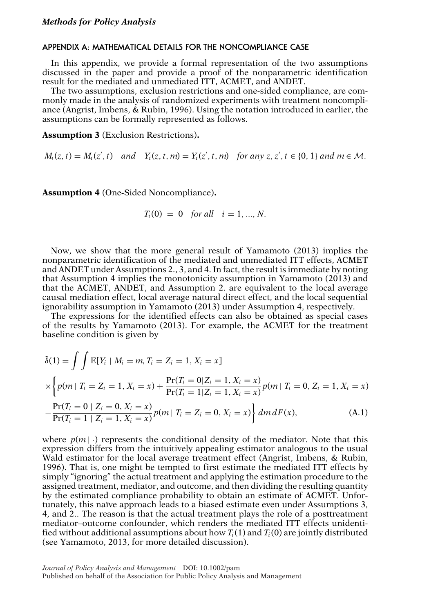## **APPENDIX A: MATHEMATICAL DETAILS FOR THE NONCOMPLIANCE CASE**

In this appendix, we provide a formal representation of the two assumptions discussed in the paper and provide a proof of the nonparametric identification result for the mediated and unmediated ITT, ACMET, and ANDET.

The two assumptions, exclusion restrictions and one-sided compliance, are commonly made in the analysis of randomized experiments with treatment noncompliance (Angrist, Imbens, & Rubin, 1996). Using the notation introduced in earlier, the assumptions can be formally represented as follows.

**Assumption 3** (Exclusion Restrictions)**.**

 $M_i(z, t) = M_i(z', t)$  *and*  $Y_i(z, t, m) = Y_i(z', t, m)$  *for any z*, *z*<sup>'</sup>, *t*  $\in$  {0, 1} *and*  $m \in M$ .

**Assumption 4** (One-Sided Noncompliance)**.**

$$
T_i(0) = 0
$$
 for all  $i = 1, ..., N$ .

Now, we show that the more general result of Yamamoto (2013) implies the nonparametric identification of the mediated and unmediated ITT effects, ACMET and ANDET under Assumptions 2., 3, and 4. In fact, the result is immediate by noting that Assumption 4 implies the monotonicity assumption in Yamamoto (2013) and that the ACMET, ANDET, and Assumption 2. are equivalent to the local average causal mediation effect, local average natural direct effect, and the local sequential ignorability assumption in Yamamoto (2013) under Assumption 4, respectively.

The expressions for the identified effects can also be obtained as special cases of the results by Yamamoto (2013). For example, the ACMET for the treatment baseline condition is given by

$$
\tilde{\delta}(1) = \int \int \mathbb{E}[Y_i \mid M_i = m, T_i = Z_i = 1, X_i = x]
$$
\n
$$
\times \left\{ p(m \mid T_i = Z_i = 1, X_i = x) + \frac{\Pr(T_i = 0 | Z_i = 1, X_i = x)}{\Pr(T_i = 1 | Z_i = 1, X_i = x)} p(m \mid T_i = 0, Z_i = 1, X_i = x) - \frac{\Pr(T_i = 0 \mid Z_i = 0, X_i = x)}{\Pr(T_i = 1 \mid Z_i = 1, X_i = x)} p(m \mid T_i = Z_i = 0, X_i = x) \right\} dm dF(x), \tag{A.1}
$$

where  $p(m \mid \cdot)$  represents the conditional density of the mediator. Note that this expression differs from the intuitively appealing estimator analogous to the usual Wald estimator for the local average treatment effect (Angrist, Imbens, & Rubin, 1996). That is, one might be tempted to first estimate the mediated ITT effects by simply "ignoring" the actual treatment and applying the estimation procedure to the assigned treatment, mediator, and outcome, and then dividing the resulting quantity by the estimated compliance probability to obtain an estimate of ACMET. Unfortunately, this naïve approach leads to a biased estimate even under Assumptions 3, 4, and 2.. The reason is that the actual treatment plays the role of a posttreatment mediator–outcome confounder, which renders the mediated ITT effects unidentified without additional assumptions about how  $T_i(1)$  and  $T_i(0)$  are jointly distributed (see Yamamoto, 2013, for more detailed discussion).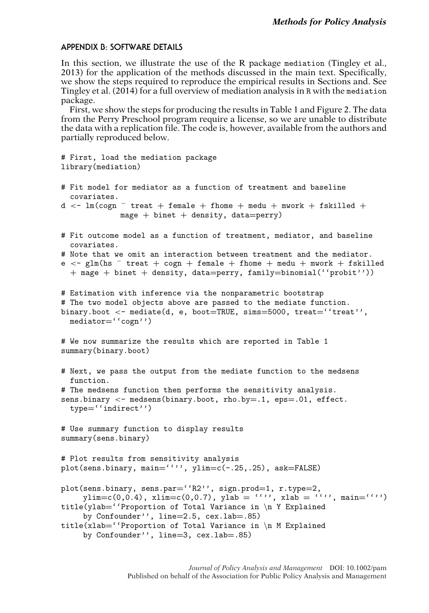## **APPENDIX B: SOFTWARE DETAILS**

In this section, we illustrate the use of the R package mediation (Tingley et al., 2013) for the application of the methods discussed in the main text. Specifically, we show the steps required to reproduce the empirical results in Sections and. See Tingley et al. (2014) for a full overview of mediation analysis in R with the mediation package.

First, we show the steps for producing the results in Table 1 and Figure 2. The data from the Perry Preschool program require a license, so we are unable to distribute the data with a replication file. The code is, however, available from the authors and partially reproduced below.

```
# First, load the mediation package
library(mediation)
# Fit model for mediator as a function of treatment and baseline
  covariates.
d \le - \ln(\text{cogn} \cap \text{treat} + \text{female} + \text{fhome} + \text{medu} + \text{mvork} + \text{fskilled} +mage + binet + density, data=perry)
# Fit outcome model as a function of treatment, mediator, and baseline
  covariates.
# Note that we omit an interaction between treatment and the mediator.
e < - glm(hs \degree treat + cogn + female + fhome + medu + mwork + fskilled
  + mage + binet + density, data=perry, family=binomial(''probit''))
# Estimation with inference via the nonparametric bootstrap
# The two model objects above are passed to the mediate function.
binary.boot <- mediate(d, e, boot=TRUE, sims=5000, treat=''treat'',
 mediator=''cogn'')
# We now summarize the results which are reported in Table 1
summary(binary.boot)
# Next, we pass the output from the mediate function to the medsens
  function.
# The medsens function then performs the sensitivity analysis.
sens.binary <- medsens(binary.boot, rho.by=.1, eps=.01, effect.
  type=''indirect'')
# Use summary function to display results
summary(sens.binary)
# Plot results from sensitivity analysis
plot(sens.binary, main='''', ylim=c(-.25,.25), ask=FALSE)
plot(sens.binary, sens.par=''R2'', sign.prod=1, r.type=2,
     ylim=c(0,0.4), xlim=c(0,0.7), ylab = ''', xlab = '''', main ='''')
title(ylab=''Proportion of Total Variance in \n Y Explained
     by Confounder'', line=2.5, cex.lab=.85)
title(xlab=''Proportion of Total Variance in \n M Explained
     by Confounder'', line=3, cex.lab=.85)
```